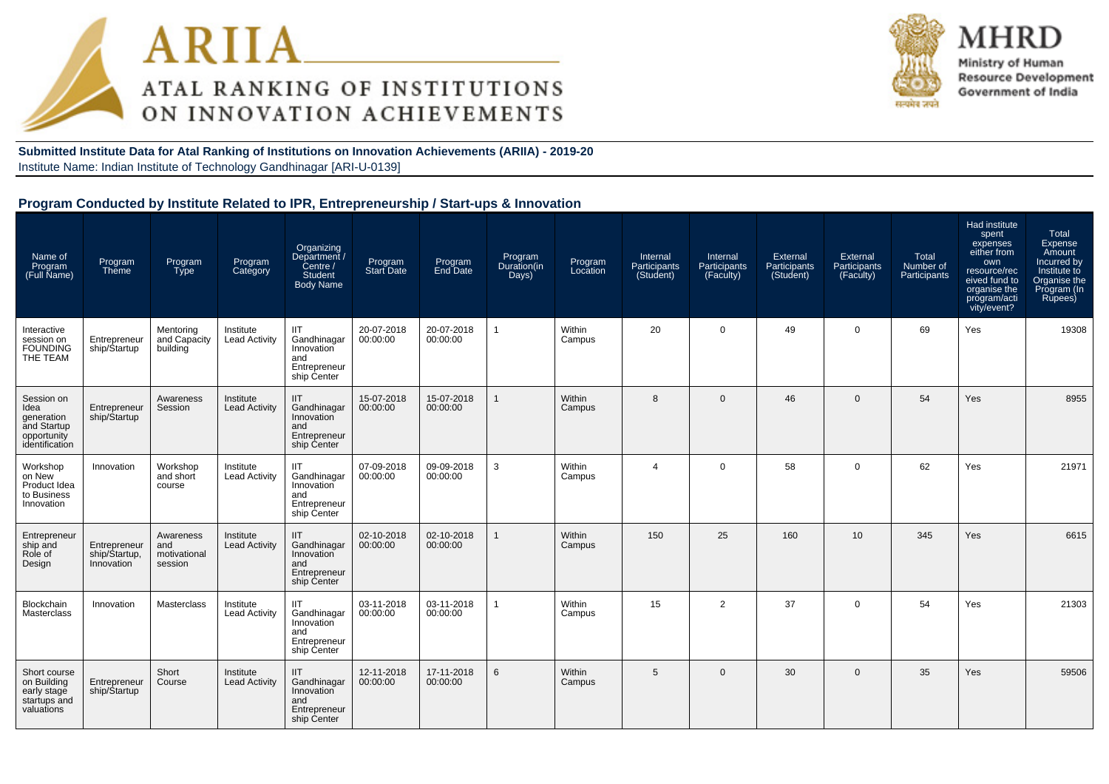



MHRD Ministry of Human **Resource Development** Government of India

**Submitted Institute Data for Atal Ranking of Institutions on Innovation Achievements (ARIIA) - 2019-20**Institute Name: Indian Institute of Technology Gandhinagar [ARI-U-0139]

#### **Program Conducted by Institute Related to IPR, Entrepreneurship / Start-ups & Innovation**

| Name of<br>Program<br>(Full Name)                                                | Program<br>Theme                            | Program<br>Type                             | Program<br>Category               | Organizing<br>/ Department<br>Centre /<br><b>Student</b><br><b>Body Name</b>  | Program<br><b>Start Date</b> | Program<br>End Date    | Program<br>Duration(in<br>Days) | Program<br>Location | Internal<br>Participants<br>(Student) | Internal<br>Participants<br>(Faculty) | External<br>Participants<br>(Student) | External<br>Participants<br>(Faculty) | Total<br>Number of<br>Participants | Had institute<br>spent<br>expenses<br>either from<br>own<br>resource/rec<br>eived fund to<br>organise the<br>program/acti<br>vity/event? | Total<br>Expense<br>Amount<br>Incurred by<br>Institute to<br>Organise the<br>Program (In<br>Rupees) |
|----------------------------------------------------------------------------------|---------------------------------------------|---------------------------------------------|-----------------------------------|-------------------------------------------------------------------------------|------------------------------|------------------------|---------------------------------|---------------------|---------------------------------------|---------------------------------------|---------------------------------------|---------------------------------------|------------------------------------|------------------------------------------------------------------------------------------------------------------------------------------|-----------------------------------------------------------------------------------------------------|
| Interactive<br>session on<br><b>FOUNDING</b><br>THE TEAM                         | Entrepreneur<br>ship/Startup                | Mentoring<br>and Capacity<br>building       | Institute<br><b>Lead Activity</b> | <b>IIT</b><br>Gandhinagar<br>Innovation<br>and<br>Entrepreneur<br>ship Center | 20-07-2018<br>00:00:00       | 20-07-2018<br>00:00:00 | $\overline{1}$                  | Within<br>Campus    | 20                                    | $\Omega$                              | 49                                    | $\mathbf{0}$                          | 69                                 | Yes                                                                                                                                      | 19308                                                                                               |
| Session on<br>Idea<br>generation<br>and Startup<br>opportunity<br>identification | Entrepreneur<br>ship/Startup                | Awareness<br>Session                        | Institute<br><b>Lead Activity</b> | <b>IIT</b><br>Gandhinagar<br>Innovation<br>and<br>Entrepreneur<br>ship Center | 15-07-2018<br>00:00:00       | 15-07-2018<br>00:00:00 |                                 | Within<br>Campus    | 8                                     | $\mathbf{0}$                          | 46                                    | $\mathbf{0}$                          | 54                                 | Yes                                                                                                                                      | 8955                                                                                                |
| Workshop<br>on New<br>Product Idea<br>to Business<br>Innovation                  | Innovation                                  | Workshop<br>and short<br>course             | Institute<br><b>Lead Activity</b> | <b>IIT</b><br>Gandhinagar<br>Innovation<br>and<br>Entrepreneur<br>ship Center | 07-09-2018<br>00:00:00       | 09-09-2018<br>00:00:00 | 3                               | Within<br>Campus    | $\overline{4}$                        | $\Omega$                              | 58                                    | $\mathbf{0}$                          | 62                                 | Yes                                                                                                                                      | 21971                                                                                               |
| Entrepreneur<br>ship and<br>Role of<br>Design                                    | Entrepreneur<br>ship/Startup,<br>Innovation | Awareness<br>and<br>motivational<br>session | Institute<br><b>Lead Activity</b> | IIT<br>Gandhinagar<br>Innovation<br>and<br>Entrepreneur<br>ship Center        | 02-10-2018<br>00:00:00       | 02-10-2018<br>00:00:00 |                                 | Within<br>Campus    | 150                                   | 25                                    | 160                                   | 10                                    | 345                                | Yes                                                                                                                                      | 6615                                                                                                |
| Blockchain<br>Masterclass                                                        | Innovation                                  | Masterclass                                 | Institute<br><b>Lead Activity</b> | <b>IIT</b><br>Gandhinagar<br>Innovation<br>and<br>Entrepreneur<br>ship Center | 03-11-2018<br>00:00:00       | 03-11-2018<br>00:00:00 |                                 | Within<br>Campus    | 15                                    | $\overline{2}$                        | 37                                    | $\mathbf{0}$                          | 54                                 | Yes                                                                                                                                      | 21303                                                                                               |
| Short course<br>on Building<br>early stage<br>startups and<br>valuations         | Entrepreneur<br>ship/Startup                | Short<br>Course                             | Institute<br><b>Lead Activity</b> | <b>IIT</b><br>Gandhinagar<br>Innovation<br>and<br>Entrepreneur<br>ship Center | 12-11-2018<br>00:00:00       | 17-11-2018<br>00:00:00 | 6                               | Within<br>Campus    | 5                                     | $\Omega$                              | 30                                    | $\mathbf{0}$                          | 35                                 | Yes                                                                                                                                      | 59506                                                                                               |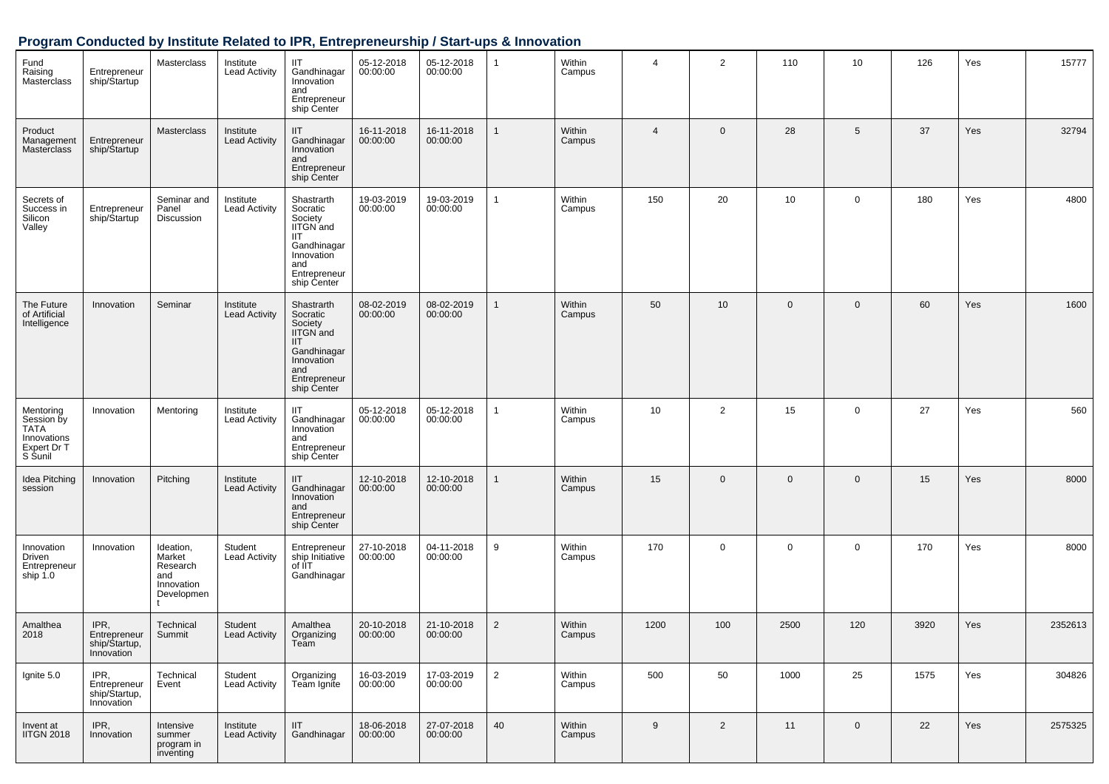## **Program Conducted by Institute Related to IPR, Entrepreneurship / Start-ups & Innovation**

| Fund<br>Raising<br>Masterclass                                           | Entrepreneur<br>ship/Startup                        | Masterclass                                                        | Institute<br><b>Lead Activity</b> | IIT<br>Gandhinagar<br>Innovation<br>and<br>Entrepreneur<br>ship Center                                                          | 05-12-2018<br>00:00:00 | 05-12-2018<br>00:00:00 | $\mathbf{1}$   | Within<br>Campus | $\overline{4}$ | $\overline{2}$ | 110          | 10          | 126  | Yes | 15777   |
|--------------------------------------------------------------------------|-----------------------------------------------------|--------------------------------------------------------------------|-----------------------------------|---------------------------------------------------------------------------------------------------------------------------------|------------------------|------------------------|----------------|------------------|----------------|----------------|--------------|-------------|------|-----|---------|
| Product<br>Management<br>Masterclass                                     | Entrepreneur<br>ship/Startup                        | <b>Masterclass</b>                                                 | Institute<br><b>Lead Activity</b> | IIT.<br>Gandhinagar<br>Innovation<br>and<br>Entrepreneur<br>ship Center                                                         | 16-11-2018<br>00:00:00 | 16-11-2018<br>00:00:00 | 1              | Within<br>Campus | $\overline{4}$ | $\mathbf 0$    | 28           | 5           | 37   | Yes | 32794   |
| Secrets of<br>Success in<br>Silicon<br>Valley                            | Entrepreneur<br>ship/Startup                        | Seminar and<br>Panel<br>Discussion                                 | Institute<br>Lead Activity        | Shastrarth<br>Socratic<br>Society<br>IITGN and<br>IIT<br>Gandhinagar<br>Innovation<br>and<br>Entrepreneur<br>ship Center        | 19-03-2019<br>00:00:00 | 19-03-2019<br>00:00:00 | 1              | Within<br>Campus | 150            | 20             | 10           | $\mathbf 0$ | 180  | Yes | 4800    |
| The Future<br>of Artificial<br>Intelligence                              | Innovation                                          | Seminar                                                            | Institute<br><b>Lead Activity</b> | Shastrarth<br>Socratic<br>Society<br>IITGN and<br><b>IIT</b><br>Gandhinagar<br>Innovation<br>and<br>Entrepreneur<br>ship Center | 08-02-2019<br>00:00:00 | 08-02-2019<br>00:00:00 | 1              | Within<br>Campus | 50             | 10             | $\mathbf 0$  | $\mathbf 0$ | 60   | Yes | 1600    |
| Mentoring<br>Session by<br>TATA<br>Innovations<br>Expert Dr T<br>S Sunil | Innovation                                          | Mentoring                                                          | Institute<br><b>Lead Activity</b> | IIT<br>Gandhinagar<br>Innovation<br>and<br>Entrepreneur<br>ship Center                                                          | 05-12-2018<br>00:00:00 | 05-12-2018<br>00:00:00 | 1              | Within<br>Campus | 10             | $\overline{2}$ | 15           | 0           | 27   | Yes | 560     |
| Idea Pitching<br>session                                                 | Innovation                                          | Pitching                                                           | Institute<br><b>Lead Activity</b> | IIT<br>Gandhinagar<br>Innovation<br>and<br>Entrepreneur<br>ship Center                                                          | 12-10-2018<br>00:00:00 | 12-10-2018<br>00:00:00 | 1              | Within<br>Campus | 15             | $\mathbf 0$    | $\mathbf{0}$ | $\mathbf 0$ | 15   | Yes | 8000    |
| Innovation<br>Driven<br>Entrepreneur<br>ship 1.0                         | Innovation                                          | Ideation,<br>Market<br>Research<br>and<br>Innovation<br>Developmen | Student<br><b>Lead Activity</b>   | Entrepreneur<br>ship Initiative<br>of IIT<br>Gandhinagar                                                                        | 27-10-2018<br>00:00:00 | 04-11-2018<br>00:00:00 | 9              | Within<br>Campus | 170            | $\mathbf 0$    | $\mathbf 0$  | 0           | 170  | Yes | 8000    |
| Amalthea<br>2018                                                         | IPR,<br>Entrepreneur<br>snip/Startup,<br>Innovation | Technical<br>Summit                                                | Student<br><b>Lead Activity</b>   | Amalthea<br>Organizing<br>ream                                                                                                  | 20-10-2018<br>00:00:00 | 21-10-2018<br>00:00:00 | $\overline{2}$ | Within<br>Campus | 1200           | 100            | 2500         | 120         | 3920 | Yes | 2352613 |
| Ignite 5.0                                                               | IPR,<br>Entrepreneur<br>ship/Startup,<br>Innovation | Technical<br>Event                                                 | Student<br><b>Lead Activity</b>   | Organizing<br>Team Ignite                                                                                                       | 16-03-2019<br>00:00:00 | 17-03-2019<br>00:00:00 | $\overline{2}$ | Within<br>Campus | 500            | 50             | 1000         | 25          | 1575 | Yes | 304826  |
| Invent at<br><b>IITGN 2018</b>                                           | IPR,<br>Innovation                                  | Intensive<br>summer<br>program in<br>inventing                     | Institute<br><b>Lead Activity</b> | <b>IIT</b><br>Gandhinagar                                                                                                       | 18-06-2018<br>00:00:00 | 27-07-2018<br>00:00:00 | 40             | Within<br>Campus | 9              | 2              | 11           | $\mathbf 0$ | 22   | Yes | 2575325 |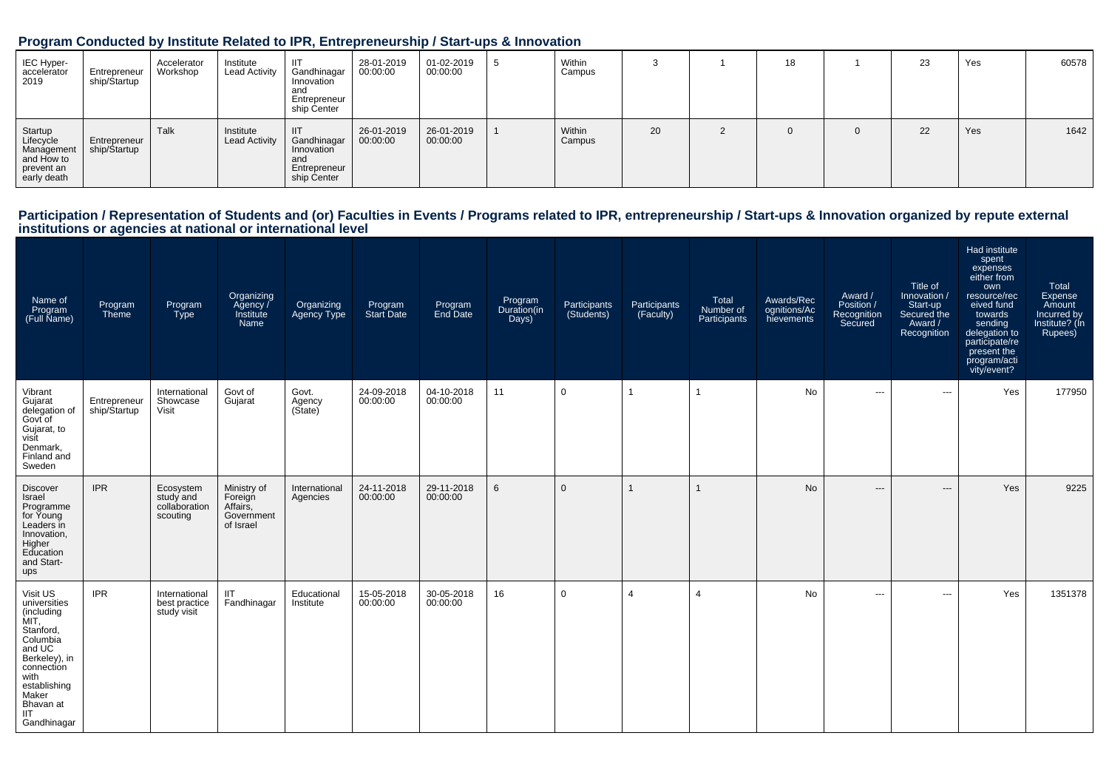#### **Program Conducted by Institute Related to IPR, Entrepreneurship / Start-ups & Innovation**

| IEC Hyper-<br>accelerator<br>2019                                             | Entrepreneur<br>ship/Startup | Accelerator<br>Workshop | Institute<br><b>Lead Activity</b> | -lit<br>Gandhinagar<br>Innovation<br>and<br>Entrepreneur<br>ship Center | 28-01-2019<br>00:00:00 | 01-02-2019<br>00:00:00 | Within<br>Campus |    | 18 |          | 23 | Yes | 60578 |
|-------------------------------------------------------------------------------|------------------------------|-------------------------|-----------------------------------|-------------------------------------------------------------------------|------------------------|------------------------|------------------|----|----|----------|----|-----|-------|
| Startup<br>Lifecycle<br>Management<br>and How to<br>prevent an<br>early death | Entrepreneur<br>ship/Startup | Talk                    | Institute<br><b>Lead Activity</b> | -IIT<br>Gandhinagar<br>Innovation<br>and<br>Entrepreneur<br>ship Center | 26-01-2019<br>00:00:00 | 26-01-2019<br>00:00:00 | Within<br>Campus | 20 |    | $\Omega$ | 22 | Yes | 1642  |

## Participation / Representation of Students and (or) Faculties in Events / Programs related to IPR, entrepreneurship / Start-ups & Innovation organized by repute external<br>institutions or agencies at national or internationa

| Name of<br>Program<br>(Full Name)                                                                                                                                                           | Program<br>Theme             | Program<br><b>Type</b>                              | Organizing<br>Agency /<br>Institute<br>Name                   | Organizing<br>Agency Type   | Program<br>Start Date  | Program<br>End Date    | Program<br>Duration(in<br>Days) | Participants<br>(Students) | Participants<br>(Faculty) | Total<br>Number of<br>Participants | Awards/Rec<br>ognitions/Ac<br>hievements | Award /<br>Position /<br>Recognition<br>Secured | Title of<br>Innovation /<br>Start-up<br>Secured the<br>Award /<br>Recognition | Had institute<br>spent<br>expenses<br>either from<br>own<br>resource/rec<br>eived fund<br>towards<br>sending<br>delegation to<br>participate/re<br>present the<br>program/acti<br>vity/event? | Total<br>Expense<br>Amount<br>Incurred by<br>Institute? (In<br>Rupees) |
|---------------------------------------------------------------------------------------------------------------------------------------------------------------------------------------------|------------------------------|-----------------------------------------------------|---------------------------------------------------------------|-----------------------------|------------------------|------------------------|---------------------------------|----------------------------|---------------------------|------------------------------------|------------------------------------------|-------------------------------------------------|-------------------------------------------------------------------------------|-----------------------------------------------------------------------------------------------------------------------------------------------------------------------------------------------|------------------------------------------------------------------------|
| Vibrant<br>Gujarat<br>delegation of<br>Govt of<br>Gujarat, to<br>visit<br>Denmark,<br>Finland and<br>Sweden                                                                                 | Entrepreneur<br>ship/Startup | International<br>Showcase<br>Visit                  | Govt of<br>Gujarat                                            | Govt.<br>Agency<br>(Sitate) | 24-09-2018<br>00:00:00 | 04-10-2018<br>00:00:00 | 11                              | $\mathbf 0$                |                           | 1                                  | No                                       | ---                                             | $\hspace{0.05cm} \ldots$                                                      | Yes                                                                                                                                                                                           | 177950                                                                 |
| <b>Discover</b><br>Israel<br>Programme<br>for Young<br>Leaders in<br>Innovation,<br>Higher<br>Education<br>and Start-<br>ups                                                                | <b>IPR</b>                   | Ecosystem<br>study and<br>collaboration<br>scouting | Ministry of<br>Foreign<br>Affairs,<br>Government<br>of Israel | International<br>Agencies   | 24-11-2018<br>00:00:00 | 29-11-2018<br>00:00:00 | $6\overline{6}$                 | $\mathbf{0}$               |                           | 1                                  | <b>No</b>                                | $---$                                           | $---$                                                                         | Yes                                                                                                                                                                                           | 9225                                                                   |
| Visit US<br>universities<br>(including<br>MIT,<br>Stanford,<br>Columbia<br>and UC<br>Berkeley), in<br>connection<br>with<br>establishing<br>Maker<br>Bhavan at<br><b>IIT</b><br>Gandhinagar | <b>IPR</b>                   | International<br>best practice<br>study visit       | <b>IIT</b><br>Fandhinagar                                     | Educational<br>Institute    | 15-05-2018<br>00:00:00 | 30-05-2018<br>00:00:00 | 16                              | $\mathbf 0$                | $\overline{4}$            | $\overline{4}$                     | <b>No</b>                                | $\cdots$                                        | $\hspace{0.05cm} \ldots$                                                      | Yes                                                                                                                                                                                           | 1351378                                                                |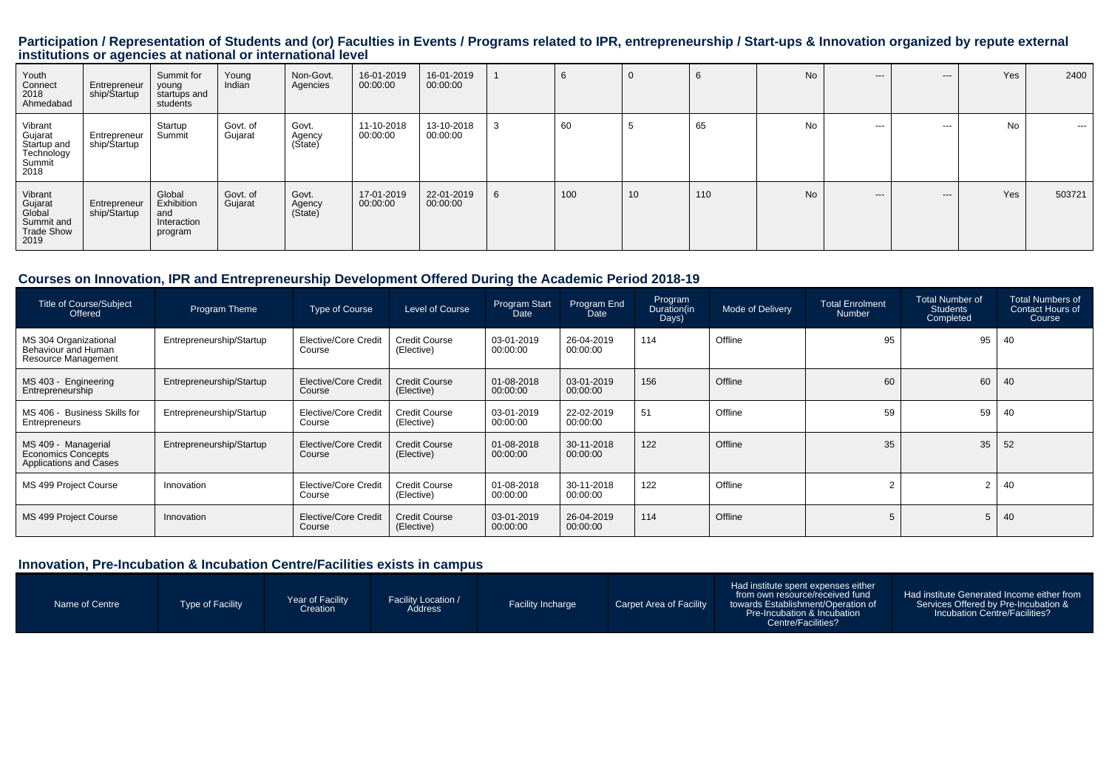# Participation / Representation of Students and (or) Faculties in Events / Programs related to IPR, entrepreneurship / Start-ups & Innovation organized by repute external<br>institutions or agencies at national or internationa

| Youth<br>Connect<br>2018<br>Ahmedabad                                   | Entrepreneur<br>ship/\$tartup | Summit for<br>young<br>startups and<br>students       | Young<br>Indian     | Non-Govt.<br>Agencies      | 16-01-2019<br>00:00:00 | 16-01-2019<br>00:00:00 |   | 6   | $\mathbf{0}$ |     | No | $- - -$  | $--$     | Yes | 2400    |
|-------------------------------------------------------------------------|-------------------------------|-------------------------------------------------------|---------------------|----------------------------|------------------------|------------------------|---|-----|--------------|-----|----|----------|----------|-----|---------|
| Vibrant<br>Gujarat<br>Startup and<br>Technology<br>Summit<br>2018       | Entrepreneur<br>ship/Startup  | Startup<br>Summit                                     | Govt. of<br>Gujarat | Govt.<br>Agency<br>(State) | 11-10-2018<br>00:00:00 | 13-10-2018<br>00:00:00 | 3 | 60  | ು            | 65  | No | $\cdots$ | $\cdots$ | No  | $- - -$ |
| Vibrant<br>Gujarat<br>Global<br>Summit and<br><b>Trade Show</b><br>2019 | Entrepreneur<br>ship/Startup  | Global<br>Exhibition<br>and<br>Interaction<br>program | Govt. of<br>Gujarat | Govt.<br>Agency<br>(State) | 17-01-2019<br>00:00:00 | 22-01-2019<br>00:00:00 | 6 | 100 | 10           | 110 | No | $- - -$  | $--$     | Yes | 503721  |

#### **Courses on Innovation, IPR and Entrepreneurship Development Offered During the Academic Period 2018-19**

| <b>Title of Course/Subject</b><br>Offered                                  | Program Theme            | <b>Type of Course</b>          | Level of Course                    | Program Start<br>Date  | Program End<br>Date    | Program<br>Duration(in<br>Days) | Mode of Delivery | <b>Total Enrolment</b><br><b>Number</b> | Total Number of<br><b>Students</b><br>Completed | <b>Total Numbers of</b><br><b>Contact Hours of</b><br>Course |
|----------------------------------------------------------------------------|--------------------------|--------------------------------|------------------------------------|------------------------|------------------------|---------------------------------|------------------|-----------------------------------------|-------------------------------------------------|--------------------------------------------------------------|
| MS 304 Organizational<br>Behaviour and Human<br>Resource Management        | Entrepreneurship/Startup | Elective/Core Credit<br>Course | Credit Course<br>(Elective)        | 03-01-2019<br>00:00:00 | 26-04-2019<br>00:00:00 | 114                             | Offline          | 95                                      | 95                                              | 40                                                           |
| MS 403 - Engineering<br>Entrepreneurship                                   | Entrepreneurship/Startup | Elective/Core Credit<br>Course | <b>Credit Course</b><br>(Elective) | 01-08-2018<br>00:00:00 | 03-01-2019<br>00:00:00 | 156                             | Offline          | 60                                      | 60                                              | 40                                                           |
| MS 406 - Business Skills for<br>Entrepreneurs                              | Entrepreneurship/Startup | Elective/Core Credit<br>Course | Credit Course<br>(Elective)        | 03-01-2019<br>00:00:00 | 22-02-2019<br>00:00:00 | 51                              | Offline          | 59                                      | 59                                              | 40                                                           |
| MS 409 - Managerial<br><b>Economics Concepts</b><br>Applications and Cases | Entrepreneurship/Startup | Elective/Core Credit<br>Course | <b>Credit Course</b><br>(Elective) | 01-08-2018<br>00:00:00 | 30-11-2018<br>00:00:00 | 122                             | Offline          | 35                                      | 35                                              | 52                                                           |
| MS 499 Project Course                                                      | Innovation               | Elective/Core Credit<br>Course | Credit Course<br>(Elective)        | 01-08-2018<br>00:00:00 | 30-11-2018<br>00:00:00 | 122                             | Offline          |                                         | 2                                               | 40                                                           |
| MS 499 Project Course                                                      | Innovation               | Elective/Core Credit<br>Course | <b>Credit Course</b><br>(Elective) | 03-01-2019<br>00:00:00 | 26-04-2019<br>00:00:00 | 114                             | Offline          |                                         | 5                                               | 40                                                           |

#### **Innovation, Pre-Incubation & Incubation Centre/Facilities exists in campus**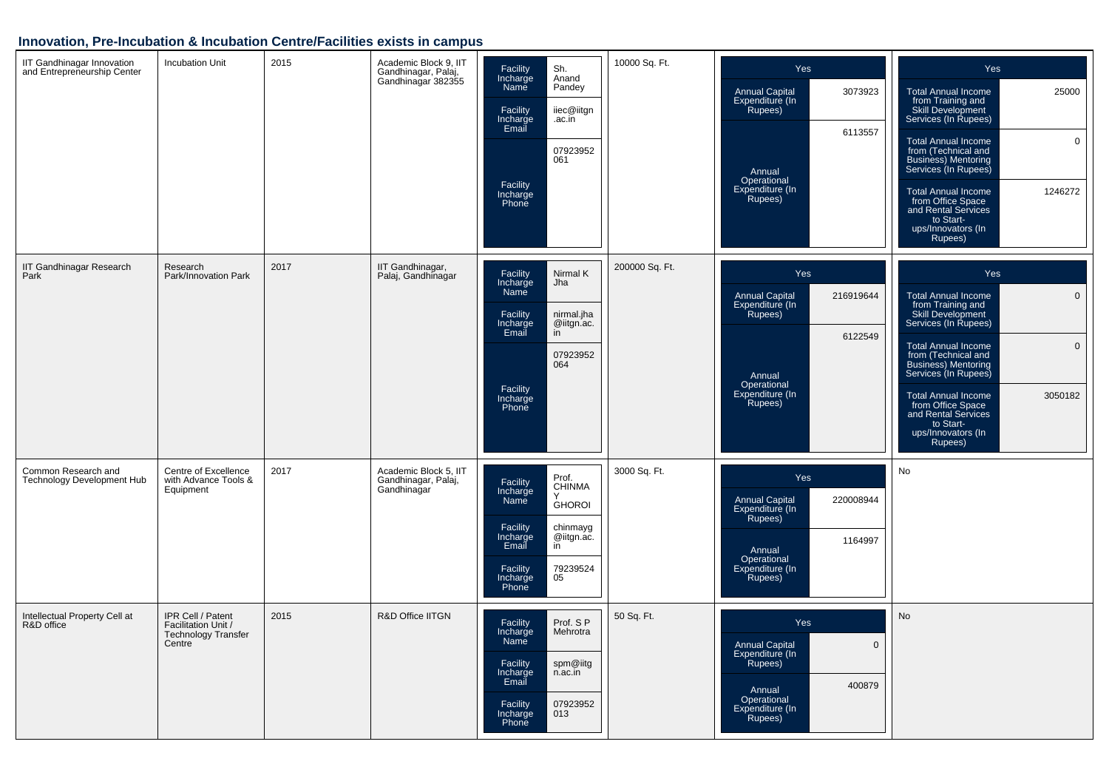## **Innovation, Pre-Incubation & Incubation Centre/Facilities exists in campus**

| IIT Gandhinagar Innovation<br>and Entrepreneurship Center | <b>Incubation Unit</b>                                                           | 2015 | Academic Block 9, IIT<br>Gandhinagar, Palaj,<br>Gandhinagar 382355 | Facility<br>Incharge<br>Name<br>Sh.<br>Anand<br>Pandey<br>Facility<br>Incharge<br>Email<br>iiec@iitgn<br>.ac.in<br>07923952<br>061<br>Facility<br>Incharge<br>Phone                       | 10000 Sq. Ft.  | Yes<br><b>Annual Capital</b><br>3073923<br>Expenditure (In<br>Rupees)<br>6113557<br>Annual<br>Operational<br>Expenditure (In<br>Rupees)   | <b>Yes</b><br><b>Total Annual Income</b><br>25000<br>from Training and<br>Skill Development<br>Services (In Rupees)<br>$\mathbf 0$<br><b>Total Annual Income</b><br>from (Technical and<br>Business) Mentoring<br>Services (In Rupees)<br>1246272<br><b>Total Annual Income</b><br>from Office Space<br>and Rental Services<br>to Start-<br>ups/Innovators (In<br>Rupees)       |
|-----------------------------------------------------------|----------------------------------------------------------------------------------|------|--------------------------------------------------------------------|-------------------------------------------------------------------------------------------------------------------------------------------------------------------------------------------|----------------|-------------------------------------------------------------------------------------------------------------------------------------------|---------------------------------------------------------------------------------------------------------------------------------------------------------------------------------------------------------------------------------------------------------------------------------------------------------------------------------------------------------------------------------|
| <b>IIT Gandhinagar Research</b><br>Park                   | Research<br>Park/Innovation Park                                                 | 2017 | IIT Gandhinagar,<br>Palaj, Gandhinagar                             | Facility<br>Nirmal K<br>Incharge<br>Jha<br>Name<br>Facility<br>nirmal.jha<br>Incharge<br>Email<br>@iitgn.ac.<br>$\overline{in}$<br>07923952<br>064<br>Facility<br>Incharge<br>Phone       | 200000 Sq. Ft. | Yes<br><b>Annual Capital</b><br>216919644<br>Expenditure (In<br>Rupees)<br>6122549<br>Annual<br>Operational<br>Expenditure (In<br>Rupees) | Yes<br><b>Total Annual Income</b><br>$\mathbf 0$<br>from Training and<br>Skill Development<br>Services (In Rupees)<br><b>Total Annual Income</b><br>$\mathbf 0$<br>from (Technical and<br><b>Business)</b> Mentoring<br>Services (In Rupees)<br>3050182<br><b>Total Annual Income</b><br>from Office Space<br>and Rental Services<br>to Start-<br>ups/Innovators (In<br>Rupees) |
| Common Research and<br>Technology Development Hub         | Centre of Excellence<br>with Advance Tools &<br>Equipment                        | 2017 | Academic Block 5, IIT<br>Gandhinagar, Palaj,<br>Gandhinagar        | Prof.<br>CHINMA<br>Facility<br>Incharge<br>Name<br>Υ<br><b>GHOROI</b><br>Facility<br>chinmayg<br>Incharge<br>Email<br>@iitgn.ac.<br>in<br>79239524<br>05<br>Facility<br>Incharge<br>Phone | 3000 Sq. Ft.   | Yes<br>220008944<br>Annual Capital<br>Expenditure (In<br>Rupees)<br>1164997<br>Annual<br>Operational<br>Expenditure (In<br>Rupees)        | No                                                                                                                                                                                                                                                                                                                                                                              |
| Intellectual Property Cell at<br>R&D office               | IPR Cell / Patent<br>Facilitation Unit /<br><b>Technology Transfer</b><br>Centre | 2015 | R&D Office IITGN                                                   | Prof. S P<br>Facility<br>Incharge<br>Name<br>Mehrotra<br>spm@iitg<br>Facility<br>Incharge<br>Email<br>n.ac.in<br>Facility<br>07923952<br>Incharge<br>Phone<br>013                         | 50 Sq. Ft.     | Yes<br><b>Annual Capital</b><br>$\Omega$<br>Expenditure (In<br>Rupees)<br>400879<br>Annual<br>Operational<br>Expenditure (In<br>Rupees)   | No                                                                                                                                                                                                                                                                                                                                                                              |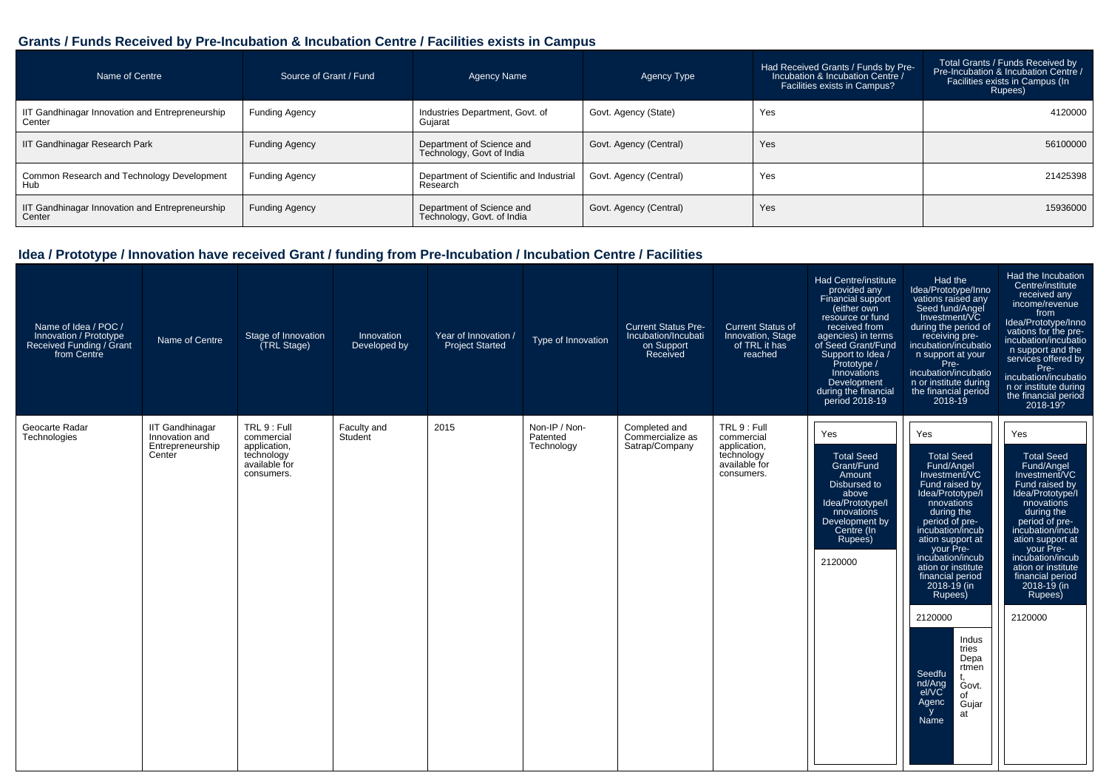#### **Grants / Funds Received by Pre-Incubation & Incubation Centre / Facilities exists in Campus**

| Name of Centre                                            | Source of Grant / Fund | Agency Name                                             | Agency Type            | Had Received Grants / Funds by Pre-<br>Incubation & Incubation Centre /<br>Facilities exists in Campus? | Total Grants / Funds Received by<br>Pre-Incubation & Incubation Centre /<br>Facilities exists in Campus (In<br>Rupees) |
|-----------------------------------------------------------|------------------------|---------------------------------------------------------|------------------------|---------------------------------------------------------------------------------------------------------|------------------------------------------------------------------------------------------------------------------------|
| IIT Gandhinagar Innovation and Entrepreneurship<br>Center | <b>Funding Agency</b>  | Industries Department, Govt. of<br>Guiarat              | Govt. Agency (State)   | Yes                                                                                                     | 4120000                                                                                                                |
| IIT Gandhinagar Research Park                             | Funding Agency         | Department of Science and<br>Technology, Govt of India  | Govt. Agency (Central) | Yes                                                                                                     | 56100000                                                                                                               |
| Common Research and Technology Development<br>Hub         | Funding Agency         | Department of Scientific and Industrial<br>Research     | Govt. Agency (Central) | Yes                                                                                                     | 21425398                                                                                                               |
| IIT Gandhinagar Innovation and Entrepreneurship<br>Center | Funding Agency         | Department of Science and<br>Technology, Govt. of India | Govt. Agency (Central) | Yes                                                                                                     | 15936000                                                                                                               |

| Name of Idea / POC /<br>Innovation / Prototype<br>Received Funding / Grant<br>from Centre | Name of Centre                                                         | Stage of Innovation<br>(TRL Stage)                                                      | Innovation<br>Developed by | Year of Innovation /<br><b>Project Started</b> | Type of Innovation                      | <b>Current Status Pre-</b><br>Incubation/Incubati<br>on Support<br>Received | <b>Current Status of</b><br>Innovation, Stage<br>of TRL it has<br>reached               | Had Centre/institute<br>provided any<br>Financial support<br>(either own<br>resource or fund<br>received from<br>agencies) in terms<br>of Seed Grant/Fund<br>Support to Idea /<br>Prototype /<br>Innovations<br>Development<br>during the financial<br>period 2018-19 | Had the<br>Idea/Prototype/Inno<br>vations raised any<br>Seed fund/Angel<br>Investment/VC<br>during the period of<br>receiving pre-<br>incubation/incubatio<br>n support at your<br>Pre-<br>incubation/incubatio<br>n or institute during<br>the financial period<br>$2018 - 19$                                                                                                                                                        | Had the Incubation<br>Centre/institute<br>received any<br>income/revenue<br>from<br>Idea/Prototype/Inno<br>vations for the pre-<br>incubation/incubatio<br>n support and the<br>services offered by<br>Pre-<br>incubation/incubatio<br>n or institute during<br>the financial period<br>2018-19?        |
|-------------------------------------------------------------------------------------------|------------------------------------------------------------------------|-----------------------------------------------------------------------------------------|----------------------------|------------------------------------------------|-----------------------------------------|-----------------------------------------------------------------------------|-----------------------------------------------------------------------------------------|-----------------------------------------------------------------------------------------------------------------------------------------------------------------------------------------------------------------------------------------------------------------------|----------------------------------------------------------------------------------------------------------------------------------------------------------------------------------------------------------------------------------------------------------------------------------------------------------------------------------------------------------------------------------------------------------------------------------------|---------------------------------------------------------------------------------------------------------------------------------------------------------------------------------------------------------------------------------------------------------------------------------------------------------|
| Geocarte Radar<br>Technologies                                                            | <b>IIT Gandhinagar</b><br>Innovation and<br>Entrepreneurship<br>Center | TRL 9 : Full<br>commercial<br>application,<br>technology<br>available for<br>consumers. | Faculty and<br>Student     | 2015                                           | Non-IP / Non-<br>Patented<br>Technology | Completed and<br>Commercialize as<br>Satrap/Company                         | TRL 9 : Full<br>commercial<br>application,<br>technology<br>available for<br>consumers. | Yes<br><b>Total Seed</b><br>Grant/Fund<br>Amount<br>Disbursed to<br>above<br>Idea/Prototype/I<br>nnovations<br>Development by<br>Centre (In<br>Rupees)<br>2120000                                                                                                     | Yes<br><b>Total Seed</b><br>Fund/Angel<br>Investment/VC<br>Fund raised by<br>Idea/Prototype/I<br>nnovations<br>during the<br>period of pre-<br>incubation/incub<br>ation support at<br>your Pre-<br>incubation/incub<br>ation or institute<br>financial period<br>$2018 - 19$ (in<br>Rupees)<br>2120000<br>Indus<br>tries<br>Depa<br>rtmen<br>Seedfu<br>nd/Ang<br>el/VC<br>Govt.<br>of<br>Agenc<br>Gujar<br><sub>y</sub><br>at<br>Name | Yes<br><b>Total Seed</b><br>Fund/Angel<br>Investment/VC<br>Fund raised by<br>Idea/Prototype/I<br>nnovations<br>during the<br>period of pre-<br>incubation/incub<br>ation support at<br>your Pre-<br>incubation/incub<br>ation or institute<br>financial period<br>$2018 - 19$ (in<br>Rupees)<br>2120000 |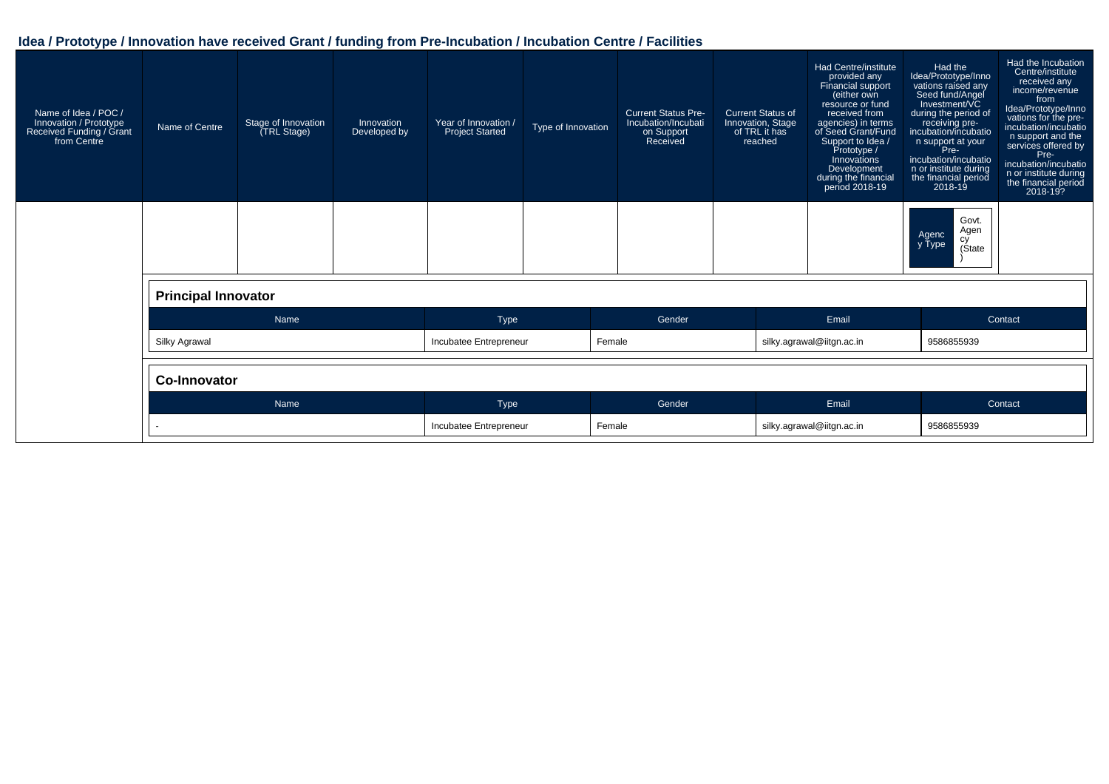| Name of Idea / POC /<br>Innovation / Prototype<br>Received Funding / Grant<br>from Centre | Name of Centre             | Stage of Innovation<br>(TRL Stage) | Innovation<br>Developed by       | Year of Innovation /<br><b>Project Started</b> | Type of Innovation | <b>Current Status Pre-</b><br>Incubation/Incubati<br>on Support<br>Received | <b>Current Status of</b><br>Innovation, Stage<br>of TRL it has<br>reached | Had Centre/institute<br>provided any<br>Financial support<br>(either own<br>resource or fund<br>received from<br>agencies) in terms<br>of Seed Grant/Fund<br>Support to Idea /<br>Prototype /<br>Innovations<br>Development<br>during the financial<br>period 2018-19 | Had the<br>Idea/Prototype/Inno<br>vations raised any<br>Seed fund/Angel<br>Investment/VC<br>during the period of<br>receiving pre-<br>incubation/incubatio<br>n support at your<br>Pre-<br>incubation/incubatio<br>n or institute during<br>the financial period<br>$2018 - 19$ | Had the Incubation<br>Centre/institute<br>received any<br>income/revenue<br>from<br>Idea/Prototype/Inno<br>vations for the pre-<br>incubation/incubatio<br>n support and the<br>services offered by<br>Pre-<br>incubation/incubatio<br>n or institute during<br>the financial period<br>2018-19? |
|-------------------------------------------------------------------------------------------|----------------------------|------------------------------------|----------------------------------|------------------------------------------------|--------------------|-----------------------------------------------------------------------------|---------------------------------------------------------------------------|-----------------------------------------------------------------------------------------------------------------------------------------------------------------------------------------------------------------------------------------------------------------------|---------------------------------------------------------------------------------------------------------------------------------------------------------------------------------------------------------------------------------------------------------------------------------|--------------------------------------------------------------------------------------------------------------------------------------------------------------------------------------------------------------------------------------------------------------------------------------------------|
|                                                                                           |                            |                                    |                                  |                                                |                    |                                                                             |                                                                           |                                                                                                                                                                                                                                                                       | Govt.<br>Agen<br>Agenc<br>cy<br>(State<br>y Type                                                                                                                                                                                                                                |                                                                                                                                                                                                                                                                                                  |
|                                                                                           | <b>Principal Innovator</b> |                                    |                                  |                                                |                    |                                                                             |                                                                           |                                                                                                                                                                                                                                                                       |                                                                                                                                                                                                                                                                                 |                                                                                                                                                                                                                                                                                                  |
|                                                                                           |                            | Name                               |                                  | Type                                           |                    | Gender                                                                      |                                                                           | Email                                                                                                                                                                                                                                                                 |                                                                                                                                                                                                                                                                                 | Contact                                                                                                                                                                                                                                                                                          |
|                                                                                           | Silky Agrawal              |                                    | Female<br>Incubatee Entrepreneur |                                                |                    |                                                                             | silky.agrawal@iitgn.ac.in                                                 | 9586855939                                                                                                                                                                                                                                                            |                                                                                                                                                                                                                                                                                 |                                                                                                                                                                                                                                                                                                  |
|                                                                                           | <b>Co-Innovator</b>        |                                    |                                  |                                                |                    |                                                                             |                                                                           |                                                                                                                                                                                                                                                                       |                                                                                                                                                                                                                                                                                 |                                                                                                                                                                                                                                                                                                  |
|                                                                                           |                            | Name                               |                                  | Type                                           |                    | Gender                                                                      |                                                                           | Email                                                                                                                                                                                                                                                                 |                                                                                                                                                                                                                                                                                 | Contact                                                                                                                                                                                                                                                                                          |
|                                                                                           |                            |                                    |                                  | Incubatee Entrepreneur                         | Female             |                                                                             |                                                                           | silky.agrawal@iitgn.ac.in                                                                                                                                                                                                                                             | 9586855939                                                                                                                                                                                                                                                                      |                                                                                                                                                                                                                                                                                                  |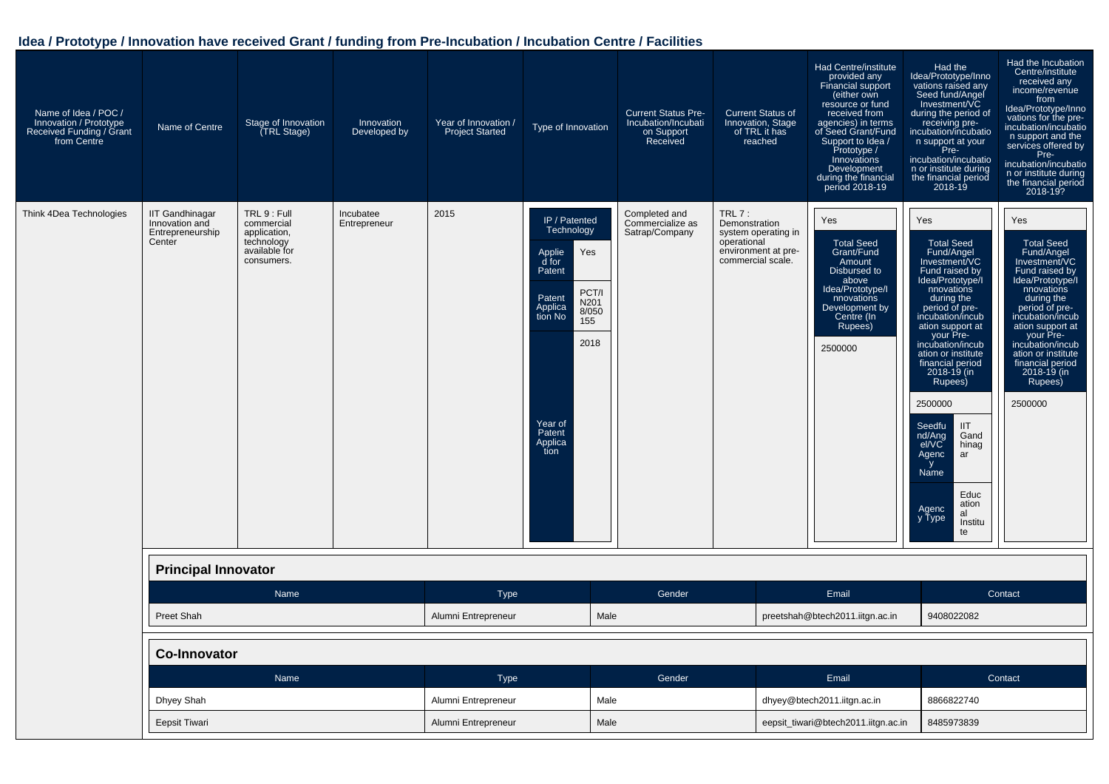| Name of Idea / POC /<br>Innovation / Prototype<br>Received Funding / Grant<br>from Centre | Name of Centre                                                         | Stage of Innovation<br>(TRL Stage)                                                      | Innovation<br>Developed by | Year of Innovation /<br><b>Project Started</b> | Type of Innovation                                                                                                                                                               | <b>Current Status Pre-</b><br>Incubation/Incubati<br>on Support<br>Received | <b>Current Status of</b><br>Innovation, Stage<br>of TRL it has<br>reached                                   | <b>Had Centre/institute</b><br>provided any<br><b>Financial support</b><br>(either own<br>resource or fund<br>received from<br>agencies) in terms<br>of Seed Grant/Fund<br>Support to Idea /<br>Prototype /<br>Innovations<br>Development<br>during the financial<br>period 2018-19 | Had the<br>Idea/Prototype/Inno<br>vations raised any<br>Seed fund/Angel<br>Investment/VC<br>during the period of<br>receiving pre-<br>incubation/incubatio<br>n support at your<br>Pre-<br>incubation/incubatio<br>n or institute during<br>the financial period<br>$2018 - 19$                                                                                                                                                                        | Had the Incubation<br>Centre/institute<br>received any<br>income/revenue<br>from<br>Idea/Prototype/Inno<br>vations for the pre-<br>incubation/incubatio<br>n support and the<br>services offered by<br>Pre-<br>incubation/incubatio<br>n or institute during<br>the financial period<br>2018-19?                      |
|-------------------------------------------------------------------------------------------|------------------------------------------------------------------------|-----------------------------------------------------------------------------------------|----------------------------|------------------------------------------------|----------------------------------------------------------------------------------------------------------------------------------------------------------------------------------|-----------------------------------------------------------------------------|-------------------------------------------------------------------------------------------------------------|-------------------------------------------------------------------------------------------------------------------------------------------------------------------------------------------------------------------------------------------------------------------------------------|--------------------------------------------------------------------------------------------------------------------------------------------------------------------------------------------------------------------------------------------------------------------------------------------------------------------------------------------------------------------------------------------------------------------------------------------------------|-----------------------------------------------------------------------------------------------------------------------------------------------------------------------------------------------------------------------------------------------------------------------------------------------------------------------|
| Think 4Dea Technologies                                                                   | <b>IIT Gandhinagar</b><br>Innovation and<br>Entrepreneurship<br>Center | TRL 9 : Full<br>commercial<br>application,<br>technology<br>available for<br>consumers. | Incubatee<br>Entrepreneur  | 2015                                           | IP / Patented<br>Technology<br>Applie<br>Yes<br>d for<br>Patent<br>PCT/I<br>Patent<br>N201<br>Applica<br>8/050<br>tion No<br>155<br>2018<br>Year of<br>Patent<br>Applica<br>tion | Completed and<br>Commercialize as<br>Satrap/Company                         | TRL $7:$<br>Demonstration<br>system operating in<br>operational<br>environment at pre-<br>commercial scale. | Yes<br><b>Total Seed</b><br>Grant/Fund<br>Amount<br>Disbursed to<br>above<br>Idea/Prototype/I<br>nnovations<br>Development by<br>Centre (In<br>Rupees)<br>2500000                                                                                                                   | Yes<br><b>Total Seed</b><br>Fund/Angel<br>Investment/VC<br>Fund raised by<br>Idea/Prototype/I<br>nnovations<br>during the<br>period of pre-<br>incubation/incub<br>ation support at<br>your Pre-<br>incubation/incub<br>ation or institute<br>financial period<br>2018-19 (in<br>Rupees)<br>2500000<br>Seedfu<br><b>IIT</b><br>nd/Ang<br>Gand<br>el/VC<br>hinag<br>Agenc<br>ar<br>y<br>Name<br>Educ<br>ation<br>Agenc<br>al<br>y Type<br>Institu<br>te | Yes<br><b>Total Seed</b><br>Fund/Angel<br>Investment/VC<br>Fund raised by<br>Idea/Prototype <sup>'</sup> /I<br>nnovations<br>during the<br>period of pre-<br>incubation/incub<br>ation support at<br>your Pre-<br>incubation/incub<br>ation or institute<br>financial period<br>$2018 - 19$ (in<br>Rupees)<br>2500000 |
|                                                                                           | <b>Principal Innovator</b>                                             |                                                                                         |                            |                                                |                                                                                                                                                                                  |                                                                             |                                                                                                             |                                                                                                                                                                                                                                                                                     |                                                                                                                                                                                                                                                                                                                                                                                                                                                        |                                                                                                                                                                                                                                                                                                                       |
|                                                                                           |                                                                        | Name                                                                                    |                            | <b>Type</b>                                    |                                                                                                                                                                                  | Gender                                                                      |                                                                                                             | Email                                                                                                                                                                                                                                                                               |                                                                                                                                                                                                                                                                                                                                                                                                                                                        | Contact                                                                                                                                                                                                                                                                                                               |
|                                                                                           | <b>Preet Shah</b>                                                      |                                                                                         |                            | Alumni Entrepreneur                            | Male                                                                                                                                                                             |                                                                             |                                                                                                             | preetshah@btech2011.iitgn.ac.in                                                                                                                                                                                                                                                     | 9408022082                                                                                                                                                                                                                                                                                                                                                                                                                                             |                                                                                                                                                                                                                                                                                                                       |
|                                                                                           | <b>Co-Innovator</b>                                                    |                                                                                         |                            |                                                |                                                                                                                                                                                  |                                                                             |                                                                                                             |                                                                                                                                                                                                                                                                                     |                                                                                                                                                                                                                                                                                                                                                                                                                                                        |                                                                                                                                                                                                                                                                                                                       |
|                                                                                           |                                                                        | Name                                                                                    |                            | <b>Type</b>                                    |                                                                                                                                                                                  | Gender                                                                      |                                                                                                             | Email                                                                                                                                                                                                                                                                               |                                                                                                                                                                                                                                                                                                                                                                                                                                                        | Contact                                                                                                                                                                                                                                                                                                               |
|                                                                                           | Dhyey Shah                                                             |                                                                                         |                            | Alumni Entrepreneur                            | Male                                                                                                                                                                             |                                                                             |                                                                                                             | dhyey@btech2011.iitgn.ac.in                                                                                                                                                                                                                                                         | 8866822740                                                                                                                                                                                                                                                                                                                                                                                                                                             |                                                                                                                                                                                                                                                                                                                       |
|                                                                                           | Eepsit Tiwari                                                          |                                                                                         |                            | Alumni Entrepreneur                            | Male                                                                                                                                                                             |                                                                             |                                                                                                             | eepsit_tiwari@btech2011.iitgn.ac.in                                                                                                                                                                                                                                                 | 8485973839                                                                                                                                                                                                                                                                                                                                                                                                                                             |                                                                                                                                                                                                                                                                                                                       |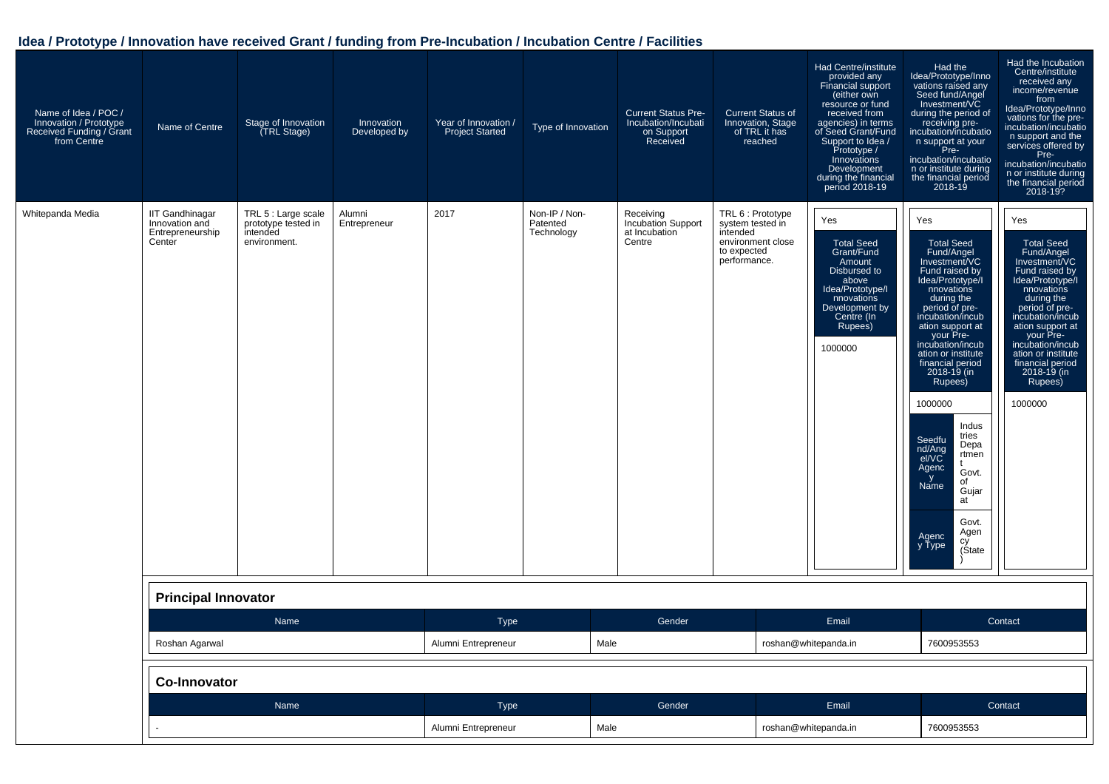| Name of Idea / POC /<br>Innovation / Prototype<br>Received Funding / Grant<br>from Centre | Name of Centre                                                         | Stage of Innovation<br>(TRL Stage)                                     | Innovation<br>Developed by | Year of Innovation /<br><b>Project Started</b> | Type of Innovation                      | <b>Current Status Pre-</b><br>Incubation/Incubati<br>on Support<br>Received | <b>Current Status of</b><br>Innovation, Stage<br>of TRL it has<br>reached                             | <b>Had Centre/institute</b><br>provided any<br>Financial support<br>(either own<br>resource or fund<br>received from<br>agencies) in terms<br>of Seed Grant/Fund<br>Support to Idea /<br>Prototype /<br>Innovations<br>Development<br>during the financial<br>period 2018-19 | Had the<br>Idea/Prototype/Inno<br>vations raised any<br>Seed fund/Angel<br>Investment/VC<br>during the period of<br>receiving pre-<br>incubation/incubatio<br>n support at your<br>Pre-<br>incubation/incubatio<br>n or institute during<br>the financial period<br>$2018 - 19$                                                                                                                                                                                             | Had the Incubation<br>Centre/institute<br>received any<br>income/revenue<br>from<br>Idea/Prototype/Inno<br>vations for the pre-<br>incubation/incubatio<br>n support and the<br>services offered by<br>Pre-<br>incubation/incubatio<br>n or institute during<br>the financial period<br>2018-19?        |
|-------------------------------------------------------------------------------------------|------------------------------------------------------------------------|------------------------------------------------------------------------|----------------------------|------------------------------------------------|-----------------------------------------|-----------------------------------------------------------------------------|-------------------------------------------------------------------------------------------------------|------------------------------------------------------------------------------------------------------------------------------------------------------------------------------------------------------------------------------------------------------------------------------|-----------------------------------------------------------------------------------------------------------------------------------------------------------------------------------------------------------------------------------------------------------------------------------------------------------------------------------------------------------------------------------------------------------------------------------------------------------------------------|---------------------------------------------------------------------------------------------------------------------------------------------------------------------------------------------------------------------------------------------------------------------------------------------------------|
| Whitepanda Media                                                                          | <b>IIT Gandhinagar</b><br>Innovation and<br>Entrepreneurship<br>Center | TRL 5 : Large scale<br>prototype tested in<br>intended<br>environment. | Alumni<br>Entrepreneur     | 2017                                           | Non-IP / Non-<br>Patented<br>Technology | Receiving<br>Incubation Support<br>at Incubation<br>Centre                  | TRL 6 : Prototype<br>system tested in<br>intended<br>environment close<br>to expected<br>performance. | Yes<br><b>Total Seed</b><br>Grant/Fund<br>Amount<br>Disbursed to<br>above<br>Idea/Prototype/I<br>nnovations<br>Development by<br>Centre (In<br>Rupees)<br>1000000                                                                                                            | Yes<br><b>Total Seed</b><br>Fund/Angel<br>Investment/VC<br>Fund raised by<br>Idea/Prototype/I<br>nnovations<br>during the<br>period of pre-<br>incubation/incub<br>ation support at<br>your Pre-<br>incubation/incub<br>ation or institute<br>financial period<br>2018-19 (in<br>Rupees)<br>1000000<br>Indus<br>tries<br>Seedfu<br>Depa<br>nd/Ang<br>rtmen<br>el/VC<br>Agenc<br>Govt.<br>y<br>of<br>Name<br>Gujar<br>at<br>Govt.<br>Agen<br>Agenc<br>сy<br>y Type<br>(Štate | Yes<br><b>Total Seed</b><br>Fund/Angel<br>Investment/VC<br>Fund raised by<br>Idea/Prototype/I<br>nnovations<br>during the<br>period of pre-<br>incubation/incub<br>ation support at<br>your Pre-<br>incubation/incub<br>ation or institute<br>financial period<br>$2018 - 19$ (in<br>Rupees)<br>1000000 |
|                                                                                           | <b>Principal Innovator</b>                                             |                                                                        |                            |                                                |                                         |                                                                             |                                                                                                       |                                                                                                                                                                                                                                                                              |                                                                                                                                                                                                                                                                                                                                                                                                                                                                             |                                                                                                                                                                                                                                                                                                         |
|                                                                                           |                                                                        | Name                                                                   |                            | Type                                           |                                         | Gender                                                                      |                                                                                                       | Email                                                                                                                                                                                                                                                                        |                                                                                                                                                                                                                                                                                                                                                                                                                                                                             | Contact                                                                                                                                                                                                                                                                                                 |
|                                                                                           | Roshan Agarwal                                                         |                                                                        |                            | Alumni Entrepreneur                            |                                         | Male                                                                        |                                                                                                       | roshan@whitepanda.in                                                                                                                                                                                                                                                         | 7600953553                                                                                                                                                                                                                                                                                                                                                                                                                                                                  |                                                                                                                                                                                                                                                                                                         |
|                                                                                           | <b>Co-Innovator</b>                                                    |                                                                        |                            |                                                |                                         |                                                                             |                                                                                                       |                                                                                                                                                                                                                                                                              |                                                                                                                                                                                                                                                                                                                                                                                                                                                                             |                                                                                                                                                                                                                                                                                                         |
|                                                                                           |                                                                        | Name                                                                   |                            | <b>Type</b>                                    |                                         | Gender                                                                      |                                                                                                       | Email                                                                                                                                                                                                                                                                        |                                                                                                                                                                                                                                                                                                                                                                                                                                                                             | Contact                                                                                                                                                                                                                                                                                                 |
|                                                                                           |                                                                        |                                                                        |                            | Alumni Entrepreneur                            |                                         | Male                                                                        |                                                                                                       | roshan@whitepanda.in                                                                                                                                                                                                                                                         | 7600953553                                                                                                                                                                                                                                                                                                                                                                                                                                                                  |                                                                                                                                                                                                                                                                                                         |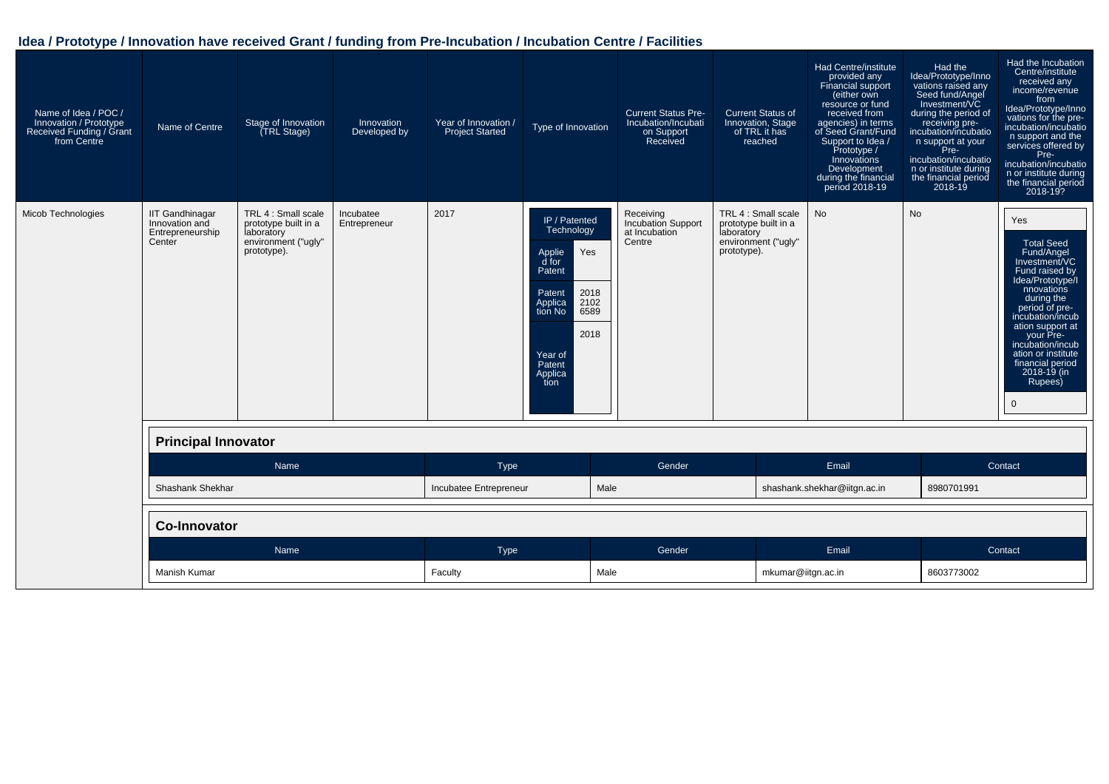| Name of Idea / POC /<br>Innovation / Prototype<br>Received Funding / Grant<br>from Centre | Name of Centre                                                         | Stage of Innovation<br><b>TRL Stage</b> )                                                       | Innovation<br>Developed by | Year of Innovation /<br><b>Project Started</b> | Type of Innovation                                                                                                                                                      | <b>Current Status Pre-</b><br>Incubation/Incubati<br>on Support<br>Received | <b>Current Status of</b><br>Innovation, Stage<br>of TRL it has<br>reached                       | <b>Had Centre/institute</b><br>provided any<br>Financial support<br>(either own<br>resource or fund<br>received from<br>agencies) in terms<br>of Seed Grant/Fund<br>Support to Idea /<br>Prototype /<br>Innovations<br>Development<br>during the financial<br>period 2018-19 | Had the<br>Idea/Prototype/Inno<br>vations raised any<br>Seed fund/Angel<br>Investment/VC<br>during the period of<br>receiving pre-<br>incubation/incubatio<br>n support at your<br>Pre-<br>incubation/incubatio<br>n or institute during<br>the financial period<br>$2018 - 19$ | Had the Incubation<br>Centre/institute<br>received any<br>income/revenue<br>from<br>Idea/Prototype/Inno<br>vations for the pre-<br>incubation/incubatio<br>n support and the<br>services offered by<br>Pre-<br>incubation/incubatio<br>n or institute during<br>the financial period<br>2018-19?        |
|-------------------------------------------------------------------------------------------|------------------------------------------------------------------------|-------------------------------------------------------------------------------------------------|----------------------------|------------------------------------------------|-------------------------------------------------------------------------------------------------------------------------------------------------------------------------|-----------------------------------------------------------------------------|-------------------------------------------------------------------------------------------------|------------------------------------------------------------------------------------------------------------------------------------------------------------------------------------------------------------------------------------------------------------------------------|---------------------------------------------------------------------------------------------------------------------------------------------------------------------------------------------------------------------------------------------------------------------------------|---------------------------------------------------------------------------------------------------------------------------------------------------------------------------------------------------------------------------------------------------------------------------------------------------------|
| <b>Micob Technologies</b>                                                                 | <b>IIT Gandhinagar</b><br>Innovation and<br>Entrepreneurship<br>Center | TRL 4 : Small scale<br>prototype built in a<br>laboratory<br>environment ("ugly"<br>prototype). | Incubatee<br>Entrepreneur  | 2017                                           | IP / Patented<br>Technology<br>Applie<br>Yes<br>d for<br>Patent<br>2018<br>Patent<br>2102<br>Applica<br>tion No<br>6589<br>2018<br>Year of<br>Patent<br>Applica<br>tion | Receiving<br>Incubation Support<br>at Incubation<br>Centre                  | TRL 4 : Small scale<br>prototype built in a<br>laboratory<br>environment ("ugly"<br>prototype). | <b>No</b>                                                                                                                                                                                                                                                                    | No                                                                                                                                                                                                                                                                              | Yes<br><b>Total Seed</b><br>Fund/Angel<br>Investment/VC<br>Fund raised by<br>Idea/Prototype/I<br>nnovations<br>during the<br>period of pre-<br>incubation/incub<br>ation support at<br>your Pre-<br>incubation/incub<br>ation or institute<br>financial period<br>2018-19 (in<br>Rupees)<br>$\mathbf 0$ |
|                                                                                           | <b>Principal Innovator</b>                                             |                                                                                                 |                            |                                                |                                                                                                                                                                         |                                                                             |                                                                                                 |                                                                                                                                                                                                                                                                              |                                                                                                                                                                                                                                                                                 |                                                                                                                                                                                                                                                                                                         |
|                                                                                           |                                                                        | Name                                                                                            |                            | Type                                           |                                                                                                                                                                         | Gender                                                                      |                                                                                                 | Email                                                                                                                                                                                                                                                                        |                                                                                                                                                                                                                                                                                 | Contact                                                                                                                                                                                                                                                                                                 |
|                                                                                           | <b>Shashank Shekhar</b>                                                |                                                                                                 |                            | Incubatee Entrepreneur                         | Male                                                                                                                                                                    |                                                                             |                                                                                                 | shashank.shekhar@iitgn.ac.in                                                                                                                                                                                                                                                 | 8980701991                                                                                                                                                                                                                                                                      |                                                                                                                                                                                                                                                                                                         |
|                                                                                           | <b>Co-Innovator</b>                                                    |                                                                                                 |                            |                                                |                                                                                                                                                                         |                                                                             |                                                                                                 |                                                                                                                                                                                                                                                                              |                                                                                                                                                                                                                                                                                 |                                                                                                                                                                                                                                                                                                         |
|                                                                                           |                                                                        | Name                                                                                            |                            | Type                                           |                                                                                                                                                                         | Gender                                                                      |                                                                                                 | Email                                                                                                                                                                                                                                                                        |                                                                                                                                                                                                                                                                                 | Contact                                                                                                                                                                                                                                                                                                 |
|                                                                                           | Manish Kumar                                                           |                                                                                                 |                            | Faculty                                        | Male                                                                                                                                                                    |                                                                             | mkumar@iitgn.ac.in                                                                              |                                                                                                                                                                                                                                                                              | 8603773002                                                                                                                                                                                                                                                                      |                                                                                                                                                                                                                                                                                                         |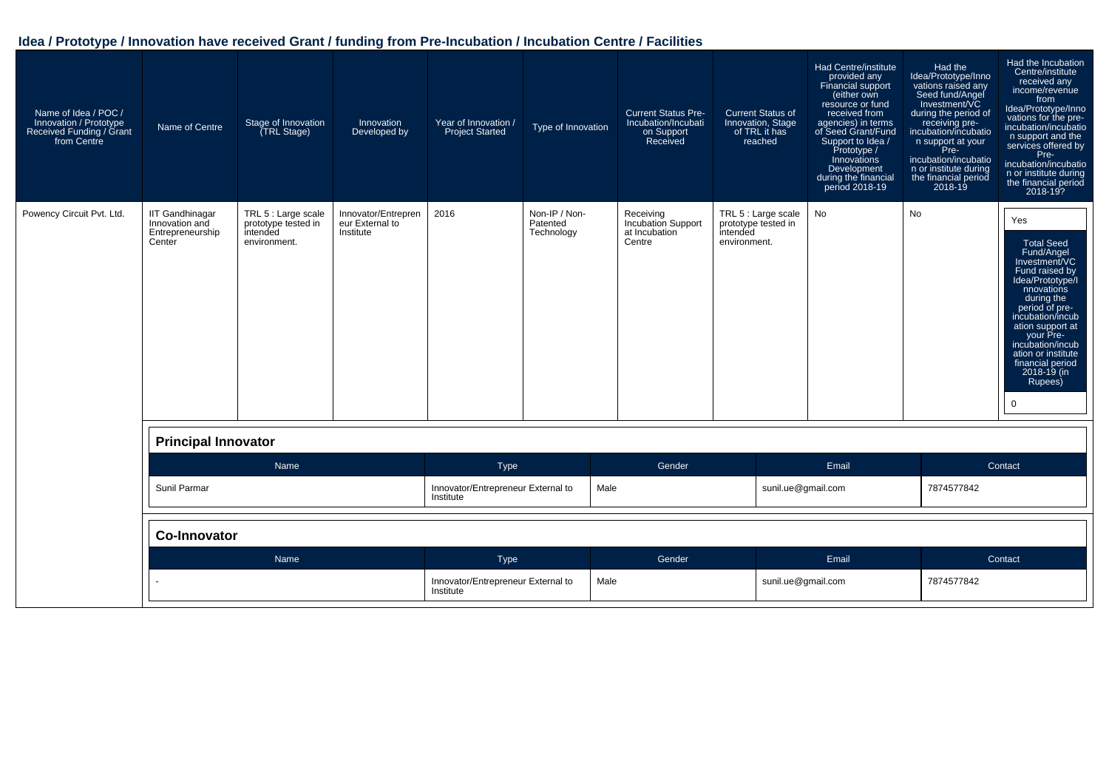| Name of Idea / POC /<br>Innovation / Prototype<br>Received Funding / Grant<br>from Centre | Name of Centre                                                         | Stage of Innovation<br><b>TRL Stage)</b>                               | Innovation<br>Developed by                          | Year of Innovation /<br>Project Started         | Type of Innovation                      | <b>Current Status Pre-</b><br>Incubation/Incubati<br>on Support<br>Received | <b>Current Status of</b><br>Innovation, Stage<br>of TRL it has<br>reached | <b>Had Centre/institute</b><br>provided any<br>Financial support<br>(either own<br>resource or fund<br>received from<br>agencies) in terms<br>of Seed Grant/Fund<br>Support to Idea /<br>Prototype /<br>Innovations<br>Development<br>during the financial<br>period 2018-19 | Had the<br>Idea/Prototype/Inno<br>vations raised any<br>Seed fund/Angel<br>Investment/VC<br>during the period of<br>receiving pre-<br>incubation/incubatio<br>n support at your<br>Pre-<br>incubation/incubatio<br>n or institute during<br>the financial period<br>2018-19 | Had the Incubation<br>Centre/institute<br>received any<br>income/revenue<br>from<br>Idea/Prototype/Inno<br>vations for the pre-<br>incubation/incubatio<br>n support and the<br>services offered by<br>Pre-<br>incubation/incubatio<br>n or institute during<br>the financial period<br>2018-19?        |
|-------------------------------------------------------------------------------------------|------------------------------------------------------------------------|------------------------------------------------------------------------|-----------------------------------------------------|-------------------------------------------------|-----------------------------------------|-----------------------------------------------------------------------------|---------------------------------------------------------------------------|------------------------------------------------------------------------------------------------------------------------------------------------------------------------------------------------------------------------------------------------------------------------------|-----------------------------------------------------------------------------------------------------------------------------------------------------------------------------------------------------------------------------------------------------------------------------|---------------------------------------------------------------------------------------------------------------------------------------------------------------------------------------------------------------------------------------------------------------------------------------------------------|
| Powency Circuit Pvt. Ltd.                                                                 | <b>IIT Gandhinagar</b><br>Innovation and<br>Entrepreneurship<br>Center | TRL 5 : Large scale<br>prototype tested in<br>intended<br>environment. | Innovator/Entrepren<br>eur External to<br>Institute | 2016                                            | Non-IP / Non-<br>Patented<br>Technology | Receiving<br>Incubation Support<br>at Incubation<br>Centre                  | TRL 5 : Large scale<br>prototype tested in<br>intended<br>environment.    | No                                                                                                                                                                                                                                                                           | No                                                                                                                                                                                                                                                                          | Yes<br><b>Total Seed</b><br>Fund/Angel<br>Investment/VC<br>Fund raised by<br>Idea/Prototype/I<br>nnovations<br>during the<br>period of pre-<br>incubation/incub<br>ation support at<br>your Pre-<br>incubation/incub<br>ation or institute<br>financial period<br>2018-19 (in<br>Rupees)<br>$\mathbf 0$ |
|                                                                                           | <b>Principal Innovator</b>                                             |                                                                        |                                                     |                                                 |                                         |                                                                             |                                                                           |                                                                                                                                                                                                                                                                              |                                                                                                                                                                                                                                                                             |                                                                                                                                                                                                                                                                                                         |
|                                                                                           |                                                                        | Name                                                                   |                                                     | Type                                            |                                         | Gender                                                                      |                                                                           | Email                                                                                                                                                                                                                                                                        |                                                                                                                                                                                                                                                                             | Contact                                                                                                                                                                                                                                                                                                 |
|                                                                                           | Sunil Parmar                                                           |                                                                        |                                                     | Innovator/Entrepreneur External to<br>Institute |                                         | Male                                                                        | sunil.ue@gmail.com                                                        |                                                                                                                                                                                                                                                                              | 7874577842                                                                                                                                                                                                                                                                  |                                                                                                                                                                                                                                                                                                         |
|                                                                                           | <b>Co-Innovator</b>                                                    |                                                                        |                                                     |                                                 |                                         |                                                                             |                                                                           |                                                                                                                                                                                                                                                                              |                                                                                                                                                                                                                                                                             |                                                                                                                                                                                                                                                                                                         |
|                                                                                           |                                                                        | Name                                                                   |                                                     | Type                                            |                                         | Gender                                                                      |                                                                           | Email                                                                                                                                                                                                                                                                        |                                                                                                                                                                                                                                                                             | Contact                                                                                                                                                                                                                                                                                                 |
|                                                                                           |                                                                        |                                                                        |                                                     | Innovator/Entrepreneur External to<br>Institute |                                         | Male                                                                        | sunil.ue@gmail.com                                                        |                                                                                                                                                                                                                                                                              | 7874577842                                                                                                                                                                                                                                                                  |                                                                                                                                                                                                                                                                                                         |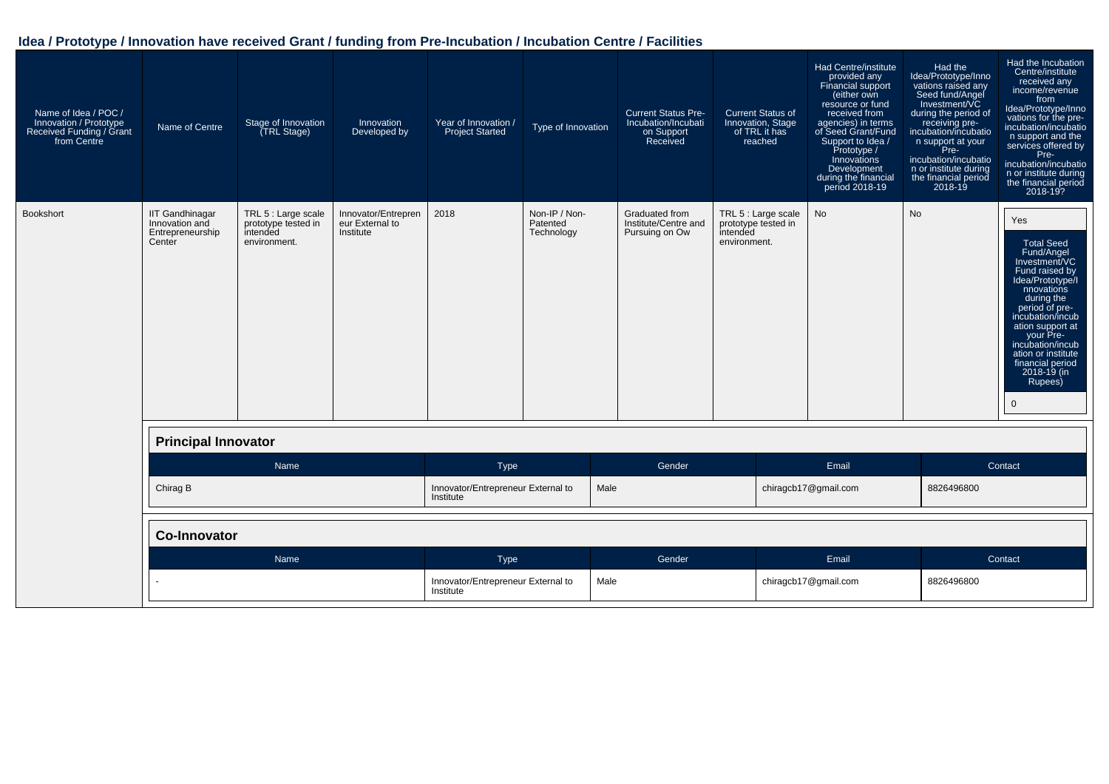| Name of Idea / POC /<br>Innovation / Prototype<br>Received Funding / Grant<br>from Centre | Name of Centre                                                         | Stage of Innovation<br>(TRL Stage)                                     | Innovation<br>Developed by                          | Year of Innovation /<br><b>Project Started</b>  | Type of Innovation                      | <b>Current Status Pre-</b><br>Incubation/Incubati<br>on Support<br>Received | <b>Current Status of</b><br>Innovation, Stage<br>of TRL it has<br>reached | Had Centre/institute<br>provided any<br>Financial support<br>(either own<br>resource or fund<br>received from<br>agencies) in terms<br>of Seed Grant/Fund<br>Support to Idea /<br>Prototype /<br>Innovations<br>Development<br>during the financial<br>period 2018-19 | Had the<br>Idea/Prototype/Inno<br>vations raised any<br>Seed fund/Angel<br>Investment/VC<br>during the period of<br>receiving pre-<br>incubation/incubatio<br>n support at your<br>Pre-<br>incubation/incubatio<br>n or institute during<br>the financial period<br>$2018 - 19$ | Had the Incubation<br>Centre/institute<br>received any<br>income/revenue<br>from<br>Idea/Prototype/Inno<br>vations for the pre-<br>incubation/incubatio<br>n support and the<br>services offered by<br>Pre-<br>incubation/incubatio<br>n or institute during<br>the financial period<br>2018-19?        |
|-------------------------------------------------------------------------------------------|------------------------------------------------------------------------|------------------------------------------------------------------------|-----------------------------------------------------|-------------------------------------------------|-----------------------------------------|-----------------------------------------------------------------------------|---------------------------------------------------------------------------|-----------------------------------------------------------------------------------------------------------------------------------------------------------------------------------------------------------------------------------------------------------------------|---------------------------------------------------------------------------------------------------------------------------------------------------------------------------------------------------------------------------------------------------------------------------------|---------------------------------------------------------------------------------------------------------------------------------------------------------------------------------------------------------------------------------------------------------------------------------------------------------|
| Bookshort                                                                                 | <b>IIT Gandhinagar</b><br>Innovation and<br>Entrepreneurship<br>Center | TRL 5 : Large scale<br>prototype tested in<br>intended<br>environment. | Innovator/Entrepren<br>eur External to<br>Institute | 2018                                            | Non-IP / Non-<br>Patented<br>Technology | Graduated from<br>Institute/Centre and<br>Pursuing on Ow                    | TRL 5 : Large scale<br>prototype tested in<br>intended<br>environment.    | <b>No</b>                                                                                                                                                                                                                                                             | <b>No</b>                                                                                                                                                                                                                                                                       | Yes<br><b>Total Seed</b><br>Fund/Angel<br>Investment/VC<br>Fund raised by<br>Idea/Prototype/I<br>nnovations<br>during the<br>period of pre-<br>incubation/incub<br>ation support at<br>your Pre-<br>incubation/incub<br>ation or institute<br>financial period<br>2018-19 (in<br>Rupees)<br>$\mathbf 0$ |
|                                                                                           | <b>Principal Innovator</b>                                             |                                                                        |                                                     |                                                 |                                         |                                                                             |                                                                           |                                                                                                                                                                                                                                                                       |                                                                                                                                                                                                                                                                                 |                                                                                                                                                                                                                                                                                                         |
|                                                                                           |                                                                        | Name                                                                   |                                                     | Type                                            |                                         | Gender                                                                      |                                                                           | Email                                                                                                                                                                                                                                                                 |                                                                                                                                                                                                                                                                                 | Contact                                                                                                                                                                                                                                                                                                 |
|                                                                                           | Chirag B                                                               |                                                                        |                                                     | Innovator/Entrepreneur External to<br>Institute | Male                                    |                                                                             |                                                                           | chiragcb17@gmail.com                                                                                                                                                                                                                                                  | 8826496800                                                                                                                                                                                                                                                                      |                                                                                                                                                                                                                                                                                                         |
|                                                                                           | <b>Co-Innovator</b>                                                    |                                                                        |                                                     |                                                 |                                         |                                                                             |                                                                           |                                                                                                                                                                                                                                                                       |                                                                                                                                                                                                                                                                                 |                                                                                                                                                                                                                                                                                                         |
|                                                                                           |                                                                        | Name                                                                   |                                                     | Type                                            |                                         | Gender                                                                      |                                                                           | Email                                                                                                                                                                                                                                                                 |                                                                                                                                                                                                                                                                                 | Contact                                                                                                                                                                                                                                                                                                 |
|                                                                                           |                                                                        |                                                                        |                                                     | Innovator/Entrepreneur External to<br>Institute | Male                                    |                                                                             |                                                                           | chiragcb17@gmail.com                                                                                                                                                                                                                                                  | 8826496800                                                                                                                                                                                                                                                                      |                                                                                                                                                                                                                                                                                                         |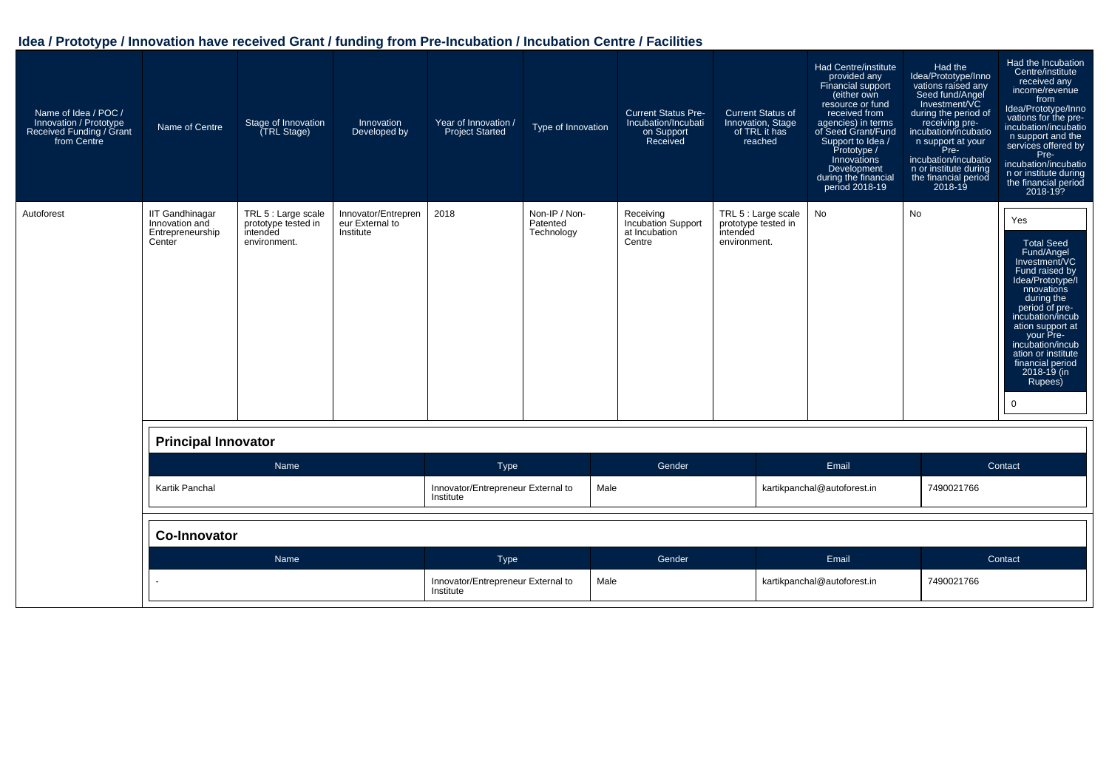| Name of Idea / POC /<br>Innovation / Prototype<br>Received Funding / Grant<br>from Centre | Name of Centre                                                         | Stage of Innovation<br>(TRL Stage)                                     | Innovation<br>Developed by                          | Year of Innovation /<br><b>Project Started</b>  | Type of Innovation                      | <b>Current Status Pre-</b><br>Incubation/Incubati<br>on Support<br>Received | <b>Current Status of</b><br>Innovation, Stage<br>of TRL it has<br>reached | Had Centre/institute<br>provided any<br>Financial support<br>(either own<br>resource or fund<br>received from<br>agencies) in terms<br>of Seed Grant/Fund<br>Support to Idea /<br>Prototype /<br>Innovations<br>Development<br>during the financial<br>period 2018-19 | Had the<br>Idea/Prototype/Inno<br>vations raised any<br>Seed fund/Angel<br>Investment/VC<br>during the period of<br>receiving pre-<br>incubation/incubatio<br>n support at your<br>Pre-<br>incubation/incubatio<br>n or institute during<br>the financial period<br>2018-19 | Had the Incubation<br>Centre/institute<br>received any<br>income/revenue<br>from<br>Idea/Prototype/Inno<br>vations for the pre-<br>incubation/incubatio<br>n support and the<br>services offered by<br>Pre-<br>incubation/incubatio<br>n or institute during<br>the financial period<br>2018-19?  |
|-------------------------------------------------------------------------------------------|------------------------------------------------------------------------|------------------------------------------------------------------------|-----------------------------------------------------|-------------------------------------------------|-----------------------------------------|-----------------------------------------------------------------------------|---------------------------------------------------------------------------|-----------------------------------------------------------------------------------------------------------------------------------------------------------------------------------------------------------------------------------------------------------------------|-----------------------------------------------------------------------------------------------------------------------------------------------------------------------------------------------------------------------------------------------------------------------------|---------------------------------------------------------------------------------------------------------------------------------------------------------------------------------------------------------------------------------------------------------------------------------------------------|
| Autoforest                                                                                | <b>IIT Gandhinagar</b><br>Innovation and<br>Entrepreneurship<br>Center | TRL 5 : Large scale<br>prototype tested in<br>intended<br>environment. | Innovator/Entrepren<br>eur External to<br>Institute | 2018                                            | Non-IP / Non-<br>Patented<br>Technology | Receiving<br>Incubation Support<br>at Incubation<br>Centre                  | TRL 5 : Large scale<br>prototype tested in<br>intended<br>environment.    | No                                                                                                                                                                                                                                                                    | No                                                                                                                                                                                                                                                                          | Yes<br><b>Total Seed</b><br>Fund/Angel<br>Investment/VC<br>Fund raised by<br>Idea/Prototype/I<br>nnovations<br>during the<br>period of pre-<br>incubation/incub<br>ation support at<br>your Pre-<br>incubation/incub<br>ation or institute<br>financial period<br>$2018 - 19$ (in<br>Rupees)<br>0 |
|                                                                                           | <b>Principal Innovator</b>                                             |                                                                        |                                                     |                                                 |                                         |                                                                             |                                                                           |                                                                                                                                                                                                                                                                       |                                                                                                                                                                                                                                                                             |                                                                                                                                                                                                                                                                                                   |
|                                                                                           |                                                                        | Name                                                                   |                                                     | Type                                            |                                         | Gender                                                                      |                                                                           | Email                                                                                                                                                                                                                                                                 |                                                                                                                                                                                                                                                                             | Contact                                                                                                                                                                                                                                                                                           |
|                                                                                           | Kartik Panchal                                                         |                                                                        |                                                     | Innovator/Entrepreneur External to<br>Institute |                                         | Male                                                                        |                                                                           | kartikpanchal@autoforest.in                                                                                                                                                                                                                                           | 7490021766                                                                                                                                                                                                                                                                  |                                                                                                                                                                                                                                                                                                   |
|                                                                                           | <b>Co-Innovator</b>                                                    |                                                                        |                                                     |                                                 |                                         |                                                                             |                                                                           |                                                                                                                                                                                                                                                                       |                                                                                                                                                                                                                                                                             |                                                                                                                                                                                                                                                                                                   |
|                                                                                           |                                                                        | <b>Name</b>                                                            |                                                     | Type                                            |                                         | Gender                                                                      |                                                                           | Email                                                                                                                                                                                                                                                                 |                                                                                                                                                                                                                                                                             | Contact                                                                                                                                                                                                                                                                                           |
|                                                                                           |                                                                        |                                                                        |                                                     | Innovator/Entrepreneur External to<br>Institute |                                         | Male                                                                        |                                                                           | kartikpanchal@autoforest.in                                                                                                                                                                                                                                           | 7490021766                                                                                                                                                                                                                                                                  |                                                                                                                                                                                                                                                                                                   |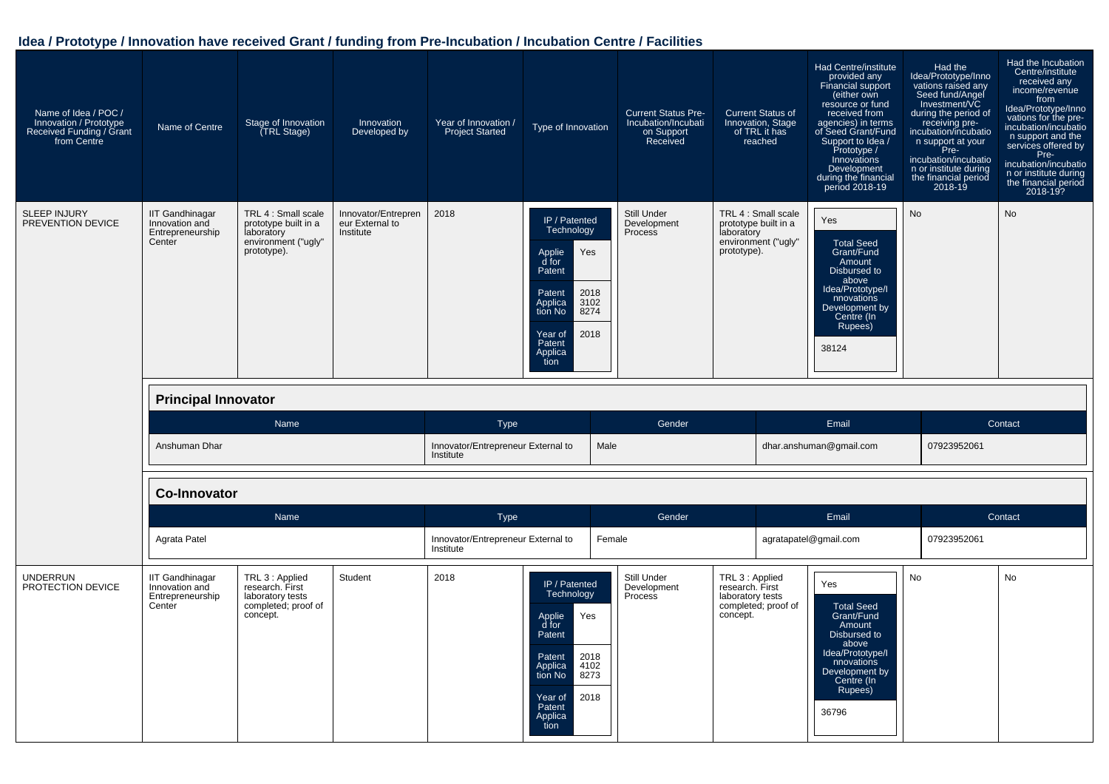| Name of Idea / POC /<br>Innovation / Prototype<br>Received Funding / Grant<br>from Centre | Name of Centre                                                                                       | Stage of Innovation<br>(TRL Stage)                                                              | Innovation<br>Developed by                          | Year of Innovation /<br><b>Project Started</b>  | Type of Innovation                                                                                                                                                      |        | <b>Current Status Pre-</b><br>Incubation/Incubati<br>on Support<br>Received |                                                                    | <b>Current Status of</b><br>Innovation, Stage<br>of TRL it has<br>reached | Had Centre/institute<br>provided any<br>Financial support<br>(either own<br>resource or fund<br>received from<br>agencies) in terms<br>of Seed Grant/Fund<br>Support to Idea /<br>Prototype /<br>Innovations<br>Development<br>during the financial<br>period 2018-19 | Had the<br>Idea/Prototype/Inno<br>vations raised any<br>Seed fund/Angel<br>Investment/VC<br>during the period of<br>receiving pre-<br>incubation/incubatio<br>n support at your<br>Pre-<br>incubation/incubatio<br>n or institute during<br>the financial period<br>2018-19 | Had the Incubation<br>Centre/institute<br>received any<br>income/revenue<br>from<br>Idea/Prototype/Inno<br>vations for the pre-<br>incubation/incubatio<br>n support and the<br>services offered by<br>Pre-<br>incubation/incubatio<br>n or institute during<br>the financial period<br>2018-19? |
|-------------------------------------------------------------------------------------------|------------------------------------------------------------------------------------------------------|-------------------------------------------------------------------------------------------------|-----------------------------------------------------|-------------------------------------------------|-------------------------------------------------------------------------------------------------------------------------------------------------------------------------|--------|-----------------------------------------------------------------------------|--------------------------------------------------------------------|---------------------------------------------------------------------------|-----------------------------------------------------------------------------------------------------------------------------------------------------------------------------------------------------------------------------------------------------------------------|-----------------------------------------------------------------------------------------------------------------------------------------------------------------------------------------------------------------------------------------------------------------------------|--------------------------------------------------------------------------------------------------------------------------------------------------------------------------------------------------------------------------------------------------------------------------------------------------|
| <b>SLEEP INJURY</b><br>PREVENTION DEVICE                                                  | <b>IIT Gandhinagar</b><br>Innovation and<br>Entrepreneurship<br>Center<br><b>Principal Innovator</b> | TRL 4 : Small scale<br>prototype built in a<br>laboratory<br>environment ("ugly"<br>prototype). | Innovator/Entrepren<br>eur External to<br>Institute | 2018                                            | IP / Patented<br>Technology<br>Applie<br>Yes<br>d for<br>Patent<br>Patent<br>2018<br>Applica<br>3102<br>8274<br>tion No<br>2018<br>Year of<br>Patent<br>Applica<br>tion |        | Still Under<br>Development<br>Process                                       | laboratory<br>prototype).                                          | TRL 4 : Small scale<br>prototype built in a<br>environment ("ugly"        | Yes<br><b>Total Seed</b><br>Grant/Fund<br>Amount<br>Disbursed to<br>above<br>Idea/Prototype/I<br>nnovations<br>Development by<br>Centre (In<br>Rupees)<br>38124                                                                                                       | <b>No</b>                                                                                                                                                                                                                                                                   | <b>No</b>                                                                                                                                                                                                                                                                                        |
|                                                                                           |                                                                                                      | Name                                                                                            |                                                     | <b>Type</b>                                     |                                                                                                                                                                         |        | Gender                                                                      |                                                                    |                                                                           | Email                                                                                                                                                                                                                                                                 |                                                                                                                                                                                                                                                                             | Contact                                                                                                                                                                                                                                                                                          |
|                                                                                           | Anshuman Dhar                                                                                        |                                                                                                 |                                                     | Innovator/Entrepreneur External to<br>Institute |                                                                                                                                                                         | Male   |                                                                             |                                                                    |                                                                           | dhar.anshuman@gmail.com                                                                                                                                                                                                                                               | 07923952061                                                                                                                                                                                                                                                                 |                                                                                                                                                                                                                                                                                                  |
|                                                                                           | <b>Co-Innovator</b>                                                                                  |                                                                                                 |                                                     |                                                 |                                                                                                                                                                         |        |                                                                             |                                                                    |                                                                           |                                                                                                                                                                                                                                                                       |                                                                                                                                                                                                                                                                             |                                                                                                                                                                                                                                                                                                  |
|                                                                                           |                                                                                                      | Name                                                                                            |                                                     | <b>Type</b>                                     |                                                                                                                                                                         |        | Gender                                                                      |                                                                    |                                                                           | Email                                                                                                                                                                                                                                                                 |                                                                                                                                                                                                                                                                             | Contact                                                                                                                                                                                                                                                                                          |
|                                                                                           | Agrata Patel                                                                                         |                                                                                                 |                                                     | Innovator/Entrepreneur External to<br>Institute |                                                                                                                                                                         | Female |                                                                             |                                                                    |                                                                           | agratapatel@gmail.com                                                                                                                                                                                                                                                 | 07923952061                                                                                                                                                                                                                                                                 |                                                                                                                                                                                                                                                                                                  |
| <b>UNDERRUN</b><br>PROTECTION DEVICE                                                      | <b>IIT Gandhinagar</b><br>Innovation and<br>Entrepreneurship<br>Center                               | TRL 3 : Applied<br>research. First<br>laboratory tests<br>completed; proof of<br>concept.       | Student                                             | 2018                                            | IP / Patented<br>Technology<br>Yes<br>Applie<br>d for                                                                                                                   |        | Still Under<br>Development<br>Process                                       | TRL 3 : Applied<br>research. First<br>laboratory tests<br>concept. | completed; proof of                                                       | Yes<br><b>Total Seed</b><br>Grant/Fund                                                                                                                                                                                                                                | No                                                                                                                                                                                                                                                                          | No                                                                                                                                                                                                                                                                                               |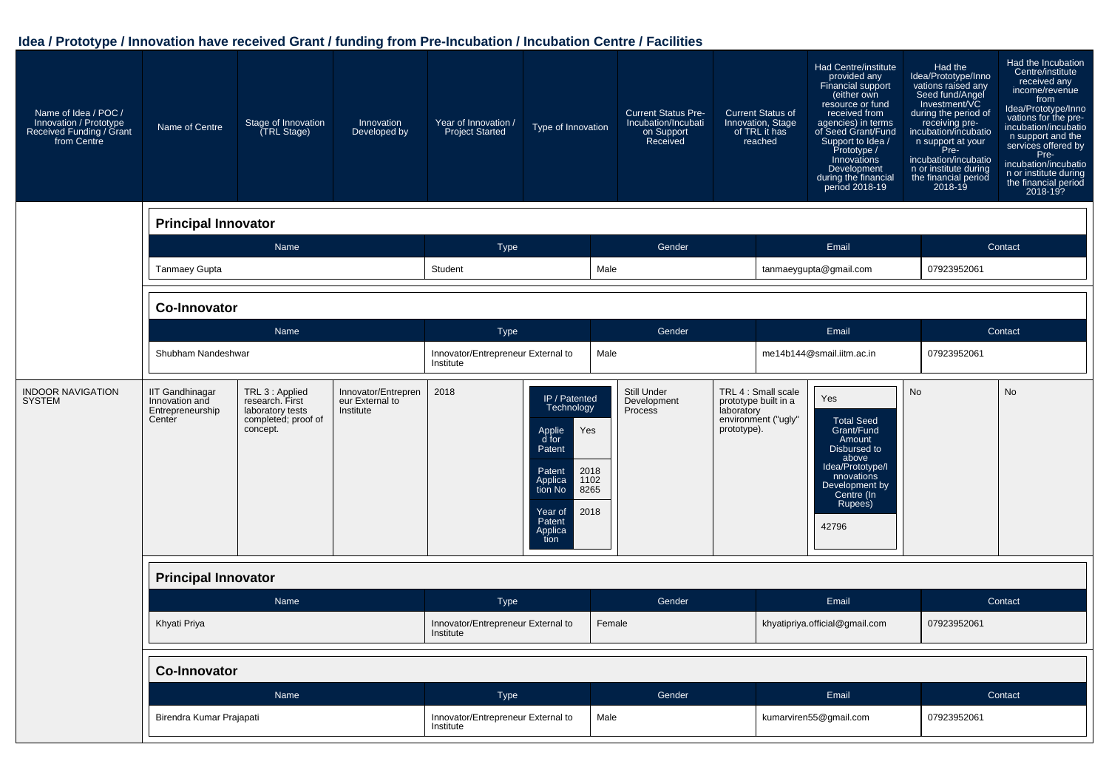| Name of Idea / POC /<br>Innovation / Prototype<br>Received Funding / Grant<br>from Centre | Name of Centre                                                         | Stage of Innovation<br>(TRL Stage)                                                        | Innovation<br>Developed by                          | Year of Innovation /<br><b>Project Started</b>  | Type of Innovation                                                                                                                                                      |        | <b>Current Status Pre-</b><br>Incubation/Incubati<br>on Support<br>Received |                           | <b>Current Status of</b><br>Innovation, Stage<br>of TRL it has<br>reached | Had Centre/institute<br>provided any<br>Financial support<br>(either own<br>resource or fund<br>received from<br>agencies) in terms<br>of Seed Grant/Fund<br>Support to Idea /<br>Prototype /<br>Innovations<br>Development<br>during the financial<br>period 2018-19 | Had the<br>Idea/Prototype/Inno<br>vations raised any<br>Seed fund/Angel<br>Investment/VC<br>during the period of<br>receiving pre-<br>incubation/incubatio<br>n support at your<br>Pre-<br>incubation/incubatio<br>n or institute during<br>the financial period<br>$2018 - 19$ | Had the Incubation<br>Centre/institute<br>received any<br>income/revenue<br>from<br>Idea/Prototype/Inno<br>vations for the pre-<br>incubation/incubatio<br>n support and the<br>services offered by<br>Pre-<br>incubation/incubatio<br>n or institute during<br>the financial period<br>2018-19? |
|-------------------------------------------------------------------------------------------|------------------------------------------------------------------------|-------------------------------------------------------------------------------------------|-----------------------------------------------------|-------------------------------------------------|-------------------------------------------------------------------------------------------------------------------------------------------------------------------------|--------|-----------------------------------------------------------------------------|---------------------------|---------------------------------------------------------------------------|-----------------------------------------------------------------------------------------------------------------------------------------------------------------------------------------------------------------------------------------------------------------------|---------------------------------------------------------------------------------------------------------------------------------------------------------------------------------------------------------------------------------------------------------------------------------|--------------------------------------------------------------------------------------------------------------------------------------------------------------------------------------------------------------------------------------------------------------------------------------------------|
|                                                                                           | <b>Principal Innovator</b>                                             |                                                                                           |                                                     |                                                 |                                                                                                                                                                         |        |                                                                             |                           |                                                                           |                                                                                                                                                                                                                                                                       |                                                                                                                                                                                                                                                                                 |                                                                                                                                                                                                                                                                                                  |
|                                                                                           |                                                                        | Name                                                                                      |                                                     | <b>Type</b>                                     |                                                                                                                                                                         |        | Gender                                                                      |                           |                                                                           | Email                                                                                                                                                                                                                                                                 |                                                                                                                                                                                                                                                                                 | Contact                                                                                                                                                                                                                                                                                          |
|                                                                                           | <b>Tanmaey Gupta</b>                                                   |                                                                                           |                                                     | Student                                         |                                                                                                                                                                         | Male   |                                                                             |                           |                                                                           | tanmaeygupta@gmail.com                                                                                                                                                                                                                                                | 07923952061                                                                                                                                                                                                                                                                     |                                                                                                                                                                                                                                                                                                  |
|                                                                                           | <b>Co-Innovator</b>                                                    |                                                                                           |                                                     |                                                 |                                                                                                                                                                         |        |                                                                             |                           |                                                                           |                                                                                                                                                                                                                                                                       |                                                                                                                                                                                                                                                                                 |                                                                                                                                                                                                                                                                                                  |
|                                                                                           |                                                                        | Name                                                                                      |                                                     | <b>Type</b>                                     |                                                                                                                                                                         |        | Gender                                                                      |                           |                                                                           | Email                                                                                                                                                                                                                                                                 |                                                                                                                                                                                                                                                                                 | Contact                                                                                                                                                                                                                                                                                          |
|                                                                                           | Shubham Nandeshwar                                                     |                                                                                           |                                                     | Innovator/Entrepreneur External to<br>Institute |                                                                                                                                                                         | Male   |                                                                             |                           |                                                                           | me14b144@smail.iitm.ac.in                                                                                                                                                                                                                                             | 07923952061                                                                                                                                                                                                                                                                     |                                                                                                                                                                                                                                                                                                  |
| <b>INDOOR NAVIGATION</b><br><b>SYSTEM</b>                                                 | <b>IIT Gandhinagar</b><br>Innovation and<br>Entrepreneurship<br>Center | TRL 3 : Applied<br>research. First<br>laboratory tests<br>completed; proof of<br>concept. | Innovator/Entrepren<br>eur External to<br>Institute | 2018                                            | IP / Patented<br>Technology<br>Applie<br>d for<br>Yes<br>Patent<br>2018<br>Patent<br>1102<br>Applica<br>8265<br>tion No<br>2018<br>Year of<br>Patent<br>Applica<br>tion |        | Still Under<br>Development<br>Process                                       | laboratory<br>prototype). | TRL 4 : Small scale<br>prototype built in a<br>environment ("ugly"        | Yes<br><b>Total Seed</b><br>Grant/Fund<br>Amount<br>Disbursed to<br>above<br>Idea/Prototype/I<br>nnovations<br>Development by<br>Centre (In<br>Rupees)<br>42796                                                                                                       | <b>No</b>                                                                                                                                                                                                                                                                       | <b>No</b>                                                                                                                                                                                                                                                                                        |
|                                                                                           | <b>Principal Innovator</b>                                             |                                                                                           |                                                     |                                                 |                                                                                                                                                                         |        |                                                                             |                           |                                                                           |                                                                                                                                                                                                                                                                       |                                                                                                                                                                                                                                                                                 |                                                                                                                                                                                                                                                                                                  |
|                                                                                           |                                                                        | Name                                                                                      |                                                     | Type                                            |                                                                                                                                                                         |        | Gender                                                                      |                           |                                                                           | Email                                                                                                                                                                                                                                                                 |                                                                                                                                                                                                                                                                                 | Contact                                                                                                                                                                                                                                                                                          |
|                                                                                           | Khyati Priya                                                           |                                                                                           |                                                     | Innovator/Entrepreneur External to<br>Institute |                                                                                                                                                                         | Female |                                                                             |                           |                                                                           | khyatipriya.official@gmail.com                                                                                                                                                                                                                                        | 07923952061                                                                                                                                                                                                                                                                     |                                                                                                                                                                                                                                                                                                  |
|                                                                                           | <b>Co-Innovator</b>                                                    |                                                                                           |                                                     |                                                 |                                                                                                                                                                         |        |                                                                             |                           |                                                                           |                                                                                                                                                                                                                                                                       |                                                                                                                                                                                                                                                                                 |                                                                                                                                                                                                                                                                                                  |
|                                                                                           |                                                                        | Name                                                                                      |                                                     | <b>Type</b>                                     |                                                                                                                                                                         |        | Gender                                                                      |                           |                                                                           | Email                                                                                                                                                                                                                                                                 |                                                                                                                                                                                                                                                                                 | Contact                                                                                                                                                                                                                                                                                          |
|                                                                                           | Birendra Kumar Prajapati                                               |                                                                                           |                                                     | Innovator/Entrepreneur External to<br>Institute |                                                                                                                                                                         | Male   |                                                                             |                           |                                                                           | kumarviren55@gmail.com                                                                                                                                                                                                                                                | 07923952061                                                                                                                                                                                                                                                                     |                                                                                                                                                                                                                                                                                                  |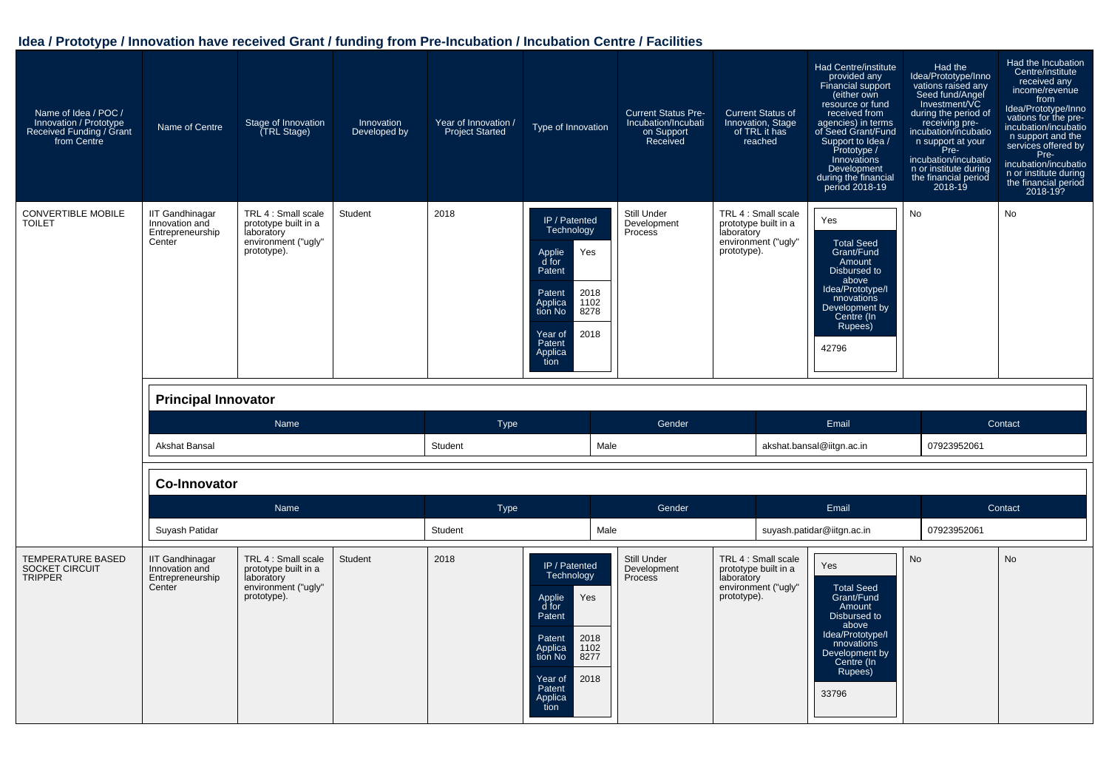| Name of Idea / POC /<br>Innovation / Prototype<br>Received Funding / Grant<br>from Centre | Name of Centre                                                         | Stage of Innovation<br>TRL Stage)                                                               | Innovation<br>Developed by | Year of Innovation /<br><b>Project Started</b> | Type of Innovation                                                                                                                                                      | <b>Current Status Pre-</b><br>Incubation/Incubati<br>on Support<br>Received | <b>Current Status of</b><br>Innovation, Stage<br>of TRL it has<br>reached                       | Had Centre/institute<br>provided any<br><b>Financial support</b><br>either own<br>resource or fund<br>received from<br>agencies) in terms<br>of Seed Grant/Fund<br>Support to Idea /<br>Prototype /<br>Innovations<br>Development<br>during the financial<br>period 2018-19 | Had the<br>Idea/Prototype/Inno<br>vations raised any<br>Seed fund/Angel<br>Investment/VC<br>during the period of<br>receiving pre-<br>incubation/incubatio<br>n support at your<br>Pre-<br>incubation/incubatio<br>n or institute during<br>the financial period<br>2018-19 | Had the Incubation<br>Centre/institute<br>received any<br>income/revenue<br>from<br>Idea/Prototype/Inno<br>vations for the pre-<br>incubation/incubatio<br>n support and the<br>services offered by<br>Pre-<br>incubation/incubatio<br>n or institute during<br>the financial period<br>2018-19? |
|-------------------------------------------------------------------------------------------|------------------------------------------------------------------------|-------------------------------------------------------------------------------------------------|----------------------------|------------------------------------------------|-------------------------------------------------------------------------------------------------------------------------------------------------------------------------|-----------------------------------------------------------------------------|-------------------------------------------------------------------------------------------------|-----------------------------------------------------------------------------------------------------------------------------------------------------------------------------------------------------------------------------------------------------------------------------|-----------------------------------------------------------------------------------------------------------------------------------------------------------------------------------------------------------------------------------------------------------------------------|--------------------------------------------------------------------------------------------------------------------------------------------------------------------------------------------------------------------------------------------------------------------------------------------------|
| CONVERTIBLE MOBILE<br><b>TOILET</b>                                                       | <b>IIT Gandhinagar</b><br>Innovation and<br>Entrepreneurship<br>Center | TRL 4 : Small scale<br>prototype built in a<br>laboratory<br>environment ("ugly"<br>prototype). | Student                    | 2018                                           | IP / Patented<br>Technology<br>Applie<br>d for<br>Yes<br>Patent<br>2018<br>Patent<br>1102<br>Applica<br>tion No<br>8278<br>2018<br>Year of<br>Patent<br>Applica<br>tion | Still Under<br>Development<br>Process                                       | TRL 4 : Small scale<br>prototype built in a<br>laboratory<br>environment ("ugly"<br>prototype). | Yes<br><b>Total Seed</b><br>Grant/Fund<br>Amount<br>Disbursed to<br>above<br>Idea/Prototype/I<br>nnovations<br>Development by<br>Centre (In<br>Rupees)<br>42796                                                                                                             | No                                                                                                                                                                                                                                                                          | No                                                                                                                                                                                                                                                                                               |
|                                                                                           | <b>Principal Innovator</b>                                             |                                                                                                 |                            |                                                |                                                                                                                                                                         |                                                                             |                                                                                                 |                                                                                                                                                                                                                                                                             |                                                                                                                                                                                                                                                                             |                                                                                                                                                                                                                                                                                                  |
|                                                                                           | Akshat Bansal                                                          | Name                                                                                            |                            | <b>Type</b><br>Student                         | Male                                                                                                                                                                    | Gender                                                                      |                                                                                                 | Email<br>akshat.bansal@iitgn.ac.in                                                                                                                                                                                                                                          | 07923952061                                                                                                                                                                                                                                                                 | Contact                                                                                                                                                                                                                                                                                          |
|                                                                                           | <b>Co-Innovator</b>                                                    |                                                                                                 |                            |                                                |                                                                                                                                                                         |                                                                             |                                                                                                 |                                                                                                                                                                                                                                                                             |                                                                                                                                                                                                                                                                             |                                                                                                                                                                                                                                                                                                  |
|                                                                                           |                                                                        | Name                                                                                            |                            | <b>Type</b>                                    |                                                                                                                                                                         | Gender                                                                      |                                                                                                 | Email                                                                                                                                                                                                                                                                       |                                                                                                                                                                                                                                                                             | Contact                                                                                                                                                                                                                                                                                          |
|                                                                                           | Suyash Patidar                                                         |                                                                                                 |                            | Student                                        | Male                                                                                                                                                                    |                                                                             |                                                                                                 | suyash.patidar@iitgn.ac.in                                                                                                                                                                                                                                                  | 07923952061                                                                                                                                                                                                                                                                 |                                                                                                                                                                                                                                                                                                  |
| <b>TEMPERATURE BASED</b><br>SOCKET CIRCUIT                                                | <b>IIT Gandhinagar</b><br>Innovation and                               | TRL 4 : Small scale<br>prototype built in a                                                     | Student                    | 2018                                           | IP / Patented<br>Technology                                                                                                                                             | Still Under<br>Development                                                  | TRL 4 : Small scale<br>prototype built in a                                                     | Yes                                                                                                                                                                                                                                                                         | <b>No</b>                                                                                                                                                                                                                                                                   | <b>No</b>                                                                                                                                                                                                                                                                                        |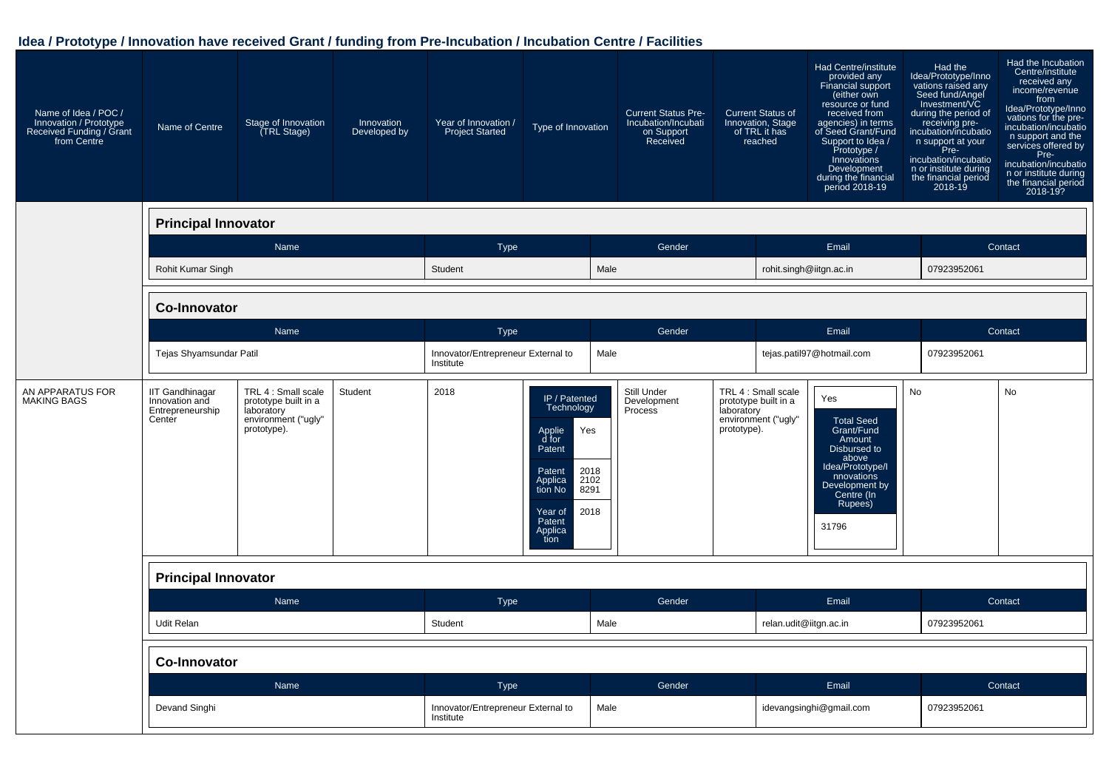| Name of Idea / POC /<br>Innovation / Prototype<br>Received Funding / Grant<br>from Centre | Name of Centre                                                         | Stage of Innovation<br><b>TRL Stage)</b>                                                        | Innovation<br>Developed by | Year of Innovation /<br><b>Project Started</b>  | Type of Innovation                                                                                                                                                      |      | <b>Current Status Pre-</b><br>Incubation/Incubati<br>on Support<br>Received |                           | <b>Current Status of</b><br>Innovation, Stage<br>of TRL it has<br>reached | Had Centre/institute<br>provided any<br>Financial support<br>(either own<br>resource or fund<br>received from<br>agencies) in terms<br>of Seed Grant/Fund<br>Support to Idea /<br>Prototype /<br>Innovations<br>Development<br>during the financial<br>period 2018-19 | Had the<br>Idea/Prototype/Inno<br>vations raised any<br>Seed fund/Angel<br>Investment/VC<br>during the period of<br>receiving pre-<br>incubation/incubatio<br>n support at your<br>Pre-<br>incubation/incubatio<br>n or institute during<br>the financial period<br>2018-19 | Had the Incubation<br>Centre/institute<br>received any<br>income/revenue<br>from<br>Idea/Prototype/Inno<br>vations for the pre-<br>incubation/incubatio<br>n support and the<br>services offered by<br>Pre-<br>incubation/incubatio<br>n or institute during<br>the financial period<br>2018-19? |
|-------------------------------------------------------------------------------------------|------------------------------------------------------------------------|-------------------------------------------------------------------------------------------------|----------------------------|-------------------------------------------------|-------------------------------------------------------------------------------------------------------------------------------------------------------------------------|------|-----------------------------------------------------------------------------|---------------------------|---------------------------------------------------------------------------|-----------------------------------------------------------------------------------------------------------------------------------------------------------------------------------------------------------------------------------------------------------------------|-----------------------------------------------------------------------------------------------------------------------------------------------------------------------------------------------------------------------------------------------------------------------------|--------------------------------------------------------------------------------------------------------------------------------------------------------------------------------------------------------------------------------------------------------------------------------------------------|
|                                                                                           | <b>Principal Innovator</b>                                             |                                                                                                 |                            |                                                 |                                                                                                                                                                         |      |                                                                             |                           |                                                                           |                                                                                                                                                                                                                                                                       |                                                                                                                                                                                                                                                                             |                                                                                                                                                                                                                                                                                                  |
|                                                                                           |                                                                        | Name                                                                                            |                            | <b>Type</b>                                     |                                                                                                                                                                         |      | Gender                                                                      |                           |                                                                           | Email                                                                                                                                                                                                                                                                 |                                                                                                                                                                                                                                                                             | Contact                                                                                                                                                                                                                                                                                          |
|                                                                                           | Rohit Kumar Singh                                                      |                                                                                                 |                            | Student                                         |                                                                                                                                                                         | Male |                                                                             |                           | rohit.singh@iitgn.ac.in                                                   |                                                                                                                                                                                                                                                                       | 07923952061                                                                                                                                                                                                                                                                 |                                                                                                                                                                                                                                                                                                  |
|                                                                                           | <b>Co-Innovator</b>                                                    |                                                                                                 |                            |                                                 |                                                                                                                                                                         |      |                                                                             |                           |                                                                           |                                                                                                                                                                                                                                                                       |                                                                                                                                                                                                                                                                             |                                                                                                                                                                                                                                                                                                  |
|                                                                                           |                                                                        | Name                                                                                            |                            | Type                                            |                                                                                                                                                                         |      | Gender                                                                      |                           |                                                                           | Email                                                                                                                                                                                                                                                                 |                                                                                                                                                                                                                                                                             | Contact                                                                                                                                                                                                                                                                                          |
|                                                                                           | Tejas Shyamsundar Patil                                                |                                                                                                 |                            | Innovator/Entrepreneur External to<br>Institute |                                                                                                                                                                         | Male |                                                                             |                           |                                                                           | tejas.patil97@hotmail.com                                                                                                                                                                                                                                             | 07923952061                                                                                                                                                                                                                                                                 |                                                                                                                                                                                                                                                                                                  |
| AN APPARATUS FOR<br><b>MAKING BAGS</b>                                                    | <b>IIT Gandhinagar</b><br>Innovation and<br>Entrepreneurship<br>Center | TRL 4 : Small scale<br>prototype built in a<br>laboratory<br>environment ("ugly"<br>prototype). | Student                    | 2018                                            | IP / Patented<br>Technology<br>Yes<br>Applie<br>d for<br>Patent<br>2018<br>Patent<br>2102<br>Applica<br>tion No<br>8291<br>2018<br>Year of<br>Patent<br>Applica<br>tion |      | Still Under<br>Development<br>Process                                       | laboratory<br>prototype). | TRL 4 : Small scale<br>prototype built in a<br>environment ("ugly"        | Yes<br><b>Total Seed</b><br>Grant/Fund<br>Amount<br>Disbursed to<br>above<br>Idea/Prototype/I<br>nnovations<br>Development by<br>Centre (In<br>Rupees)<br>31796                                                                                                       | <b>No</b>                                                                                                                                                                                                                                                                   | <b>No</b>                                                                                                                                                                                                                                                                                        |
|                                                                                           | <b>Principal Innovator</b>                                             |                                                                                                 |                            |                                                 |                                                                                                                                                                         |      |                                                                             |                           |                                                                           |                                                                                                                                                                                                                                                                       |                                                                                                                                                                                                                                                                             |                                                                                                                                                                                                                                                                                                  |
|                                                                                           |                                                                        | Name                                                                                            |                            | <b>Type</b>                                     |                                                                                                                                                                         |      | Gender                                                                      |                           |                                                                           | Email                                                                                                                                                                                                                                                                 |                                                                                                                                                                                                                                                                             | Contact                                                                                                                                                                                                                                                                                          |
|                                                                                           | Udit Relan                                                             |                                                                                                 |                            | Student                                         |                                                                                                                                                                         | Male |                                                                             |                           | relan.udit@iitgn.ac.in                                                    |                                                                                                                                                                                                                                                                       | 07923952061                                                                                                                                                                                                                                                                 |                                                                                                                                                                                                                                                                                                  |
|                                                                                           | <b>Co-Innovator</b>                                                    |                                                                                                 |                            |                                                 |                                                                                                                                                                         |      |                                                                             |                           |                                                                           |                                                                                                                                                                                                                                                                       |                                                                                                                                                                                                                                                                             |                                                                                                                                                                                                                                                                                                  |
|                                                                                           |                                                                        | Name                                                                                            |                            | <b>Type</b>                                     |                                                                                                                                                                         |      | Gender                                                                      |                           |                                                                           | Email                                                                                                                                                                                                                                                                 |                                                                                                                                                                                                                                                                             | Contact                                                                                                                                                                                                                                                                                          |
|                                                                                           | Devand Singhi                                                          |                                                                                                 |                            | Innovator/Entrepreneur External to<br>Institute |                                                                                                                                                                         | Male |                                                                             |                           |                                                                           | idevangsinghi@gmail.com                                                                                                                                                                                                                                               | 07923952061                                                                                                                                                                                                                                                                 |                                                                                                                                                                                                                                                                                                  |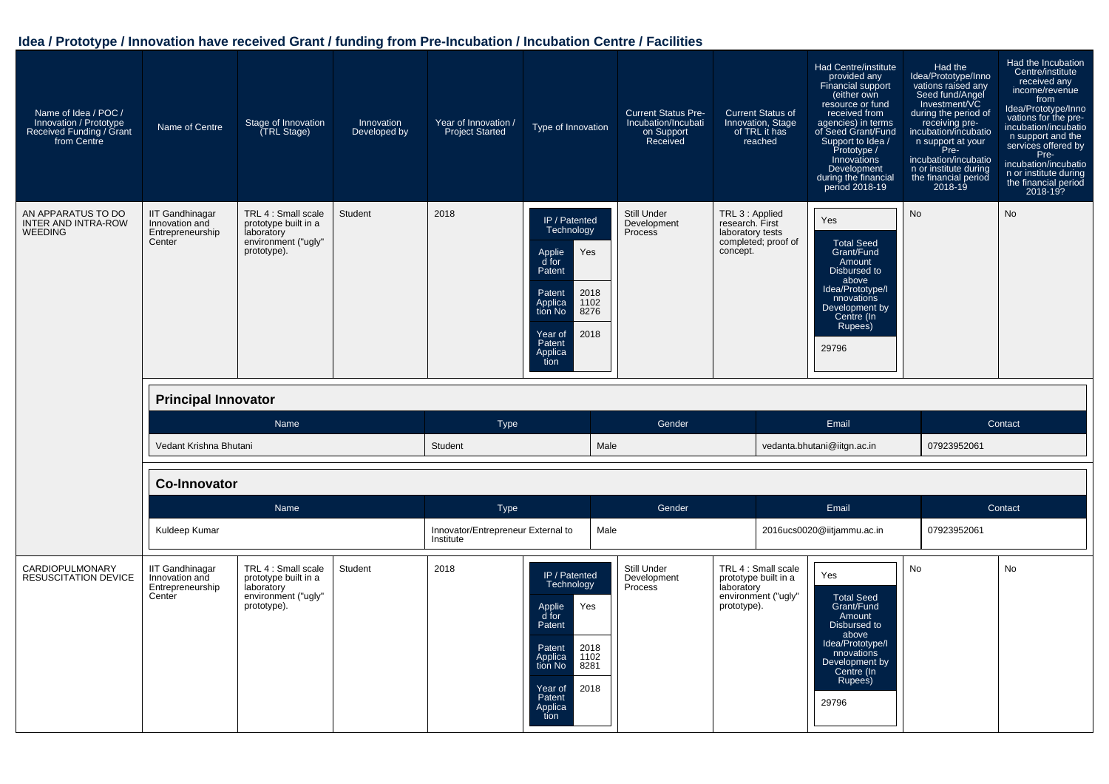| Name of Idea / POC /<br>Innovation / Prototype<br>Received Funding / Grant<br>from Centre | Name of Centre                                                         | Stage of Innovation<br><b>TRL Stage)</b>                                                        | Innovation<br>Developed by | Year of Innovation /<br><b>Project Started</b>  | Type of Innovation                                                                                                                                                      | <b>Current Status Pre-</b><br>Incubation/Incubati<br>on Support<br>Received | <b>Current Status of</b><br>Innovation, Stage<br>of TRL it has<br>reached                 | Had Centre/institute<br>provided any<br>Financial support<br>(either own<br>resource or fund<br>received from<br>agencies) in terms<br>of Seed Grant/Fund<br>Support to Idea /<br>Prototype /<br>Innovations<br>Development<br>during the financial<br>period 2018-19 | Had the<br>Idea/Prototype/Inno<br>vations raised any<br>Seed fund/Angel<br>Investment/VC<br>during the period of<br>receiving pre-<br>incubation/incubatio<br>n support at your<br>Pre-<br>incubation/incubatio<br>n or institute during<br>the financial period<br>2018-19 | Had the Incubation<br>Centre/institute<br>received any<br>income/revenue<br>from<br>Idea/Prototype/Inno<br>vations for the pre-<br>incubation/incubatio<br>n support and the<br>services offered by<br>Pre-<br>incubation/incubatio<br>n or institute during<br>the financial period<br>2018-19? |
|-------------------------------------------------------------------------------------------|------------------------------------------------------------------------|-------------------------------------------------------------------------------------------------|----------------------------|-------------------------------------------------|-------------------------------------------------------------------------------------------------------------------------------------------------------------------------|-----------------------------------------------------------------------------|-------------------------------------------------------------------------------------------|-----------------------------------------------------------------------------------------------------------------------------------------------------------------------------------------------------------------------------------------------------------------------|-----------------------------------------------------------------------------------------------------------------------------------------------------------------------------------------------------------------------------------------------------------------------------|--------------------------------------------------------------------------------------------------------------------------------------------------------------------------------------------------------------------------------------------------------------------------------------------------|
| AN APPARATUS TO DO<br><b>INTER AND INTRA-ROW</b><br><b>WEEDING</b>                        | <b>IIT Gandhinagar</b><br>Innovation and<br>Entrepreneurship<br>Center | TRL 4 : Small scale<br>prototype built in a<br>laboratory<br>environment ("ugly"<br>prototype). | Student                    | 2018                                            | IP / Patented<br>Technology<br>Yes<br>Applie<br>d for<br>Patent<br>2018<br>Patent<br>1102<br>Applica<br>tion No<br>8276<br>2018<br>Year of<br>Patent<br>Applica<br>tion | Still Under<br>Development<br>Process                                       | TRL 3 : Applied<br>research. First<br>laboratory tests<br>completed; proof of<br>concept. | Yes<br>Total Seed<br>Grant/Fund<br>Amount<br>Disbursed to<br>above<br>Idea/Prototype/I<br>nnovations<br>Development by<br>Centre (In<br>Rupees)<br>29796                                                                                                              | <b>No</b>                                                                                                                                                                                                                                                                   | <b>No</b>                                                                                                                                                                                                                                                                                        |
|                                                                                           | <b>Principal Innovator</b>                                             |                                                                                                 |                            |                                                 |                                                                                                                                                                         |                                                                             |                                                                                           |                                                                                                                                                                                                                                                                       |                                                                                                                                                                                                                                                                             |                                                                                                                                                                                                                                                                                                  |
|                                                                                           |                                                                        |                                                                                                 |                            |                                                 |                                                                                                                                                                         |                                                                             |                                                                                           |                                                                                                                                                                                                                                                                       |                                                                                                                                                                                                                                                                             |                                                                                                                                                                                                                                                                                                  |
|                                                                                           |                                                                        | Name                                                                                            |                            | <b>Type</b>                                     |                                                                                                                                                                         | Gender                                                                      |                                                                                           | Email                                                                                                                                                                                                                                                                 |                                                                                                                                                                                                                                                                             | Contact                                                                                                                                                                                                                                                                                          |
|                                                                                           | Vedant Krishna Bhutani                                                 |                                                                                                 |                            | Student                                         | Male                                                                                                                                                                    |                                                                             |                                                                                           | vedanta.bhutani@iitgn.ac.in                                                                                                                                                                                                                                           | 07923952061                                                                                                                                                                                                                                                                 |                                                                                                                                                                                                                                                                                                  |
|                                                                                           | <b>Co-Innovator</b>                                                    |                                                                                                 |                            |                                                 |                                                                                                                                                                         |                                                                             |                                                                                           |                                                                                                                                                                                                                                                                       |                                                                                                                                                                                                                                                                             |                                                                                                                                                                                                                                                                                                  |
|                                                                                           |                                                                        | Name                                                                                            |                            | <b>Type</b>                                     |                                                                                                                                                                         | Gender                                                                      |                                                                                           | Email                                                                                                                                                                                                                                                                 |                                                                                                                                                                                                                                                                             | Contact                                                                                                                                                                                                                                                                                          |
|                                                                                           | Kuldeep Kumar                                                          |                                                                                                 |                            | Innovator/Entrepreneur External to<br>Institute | Male                                                                                                                                                                    |                                                                             |                                                                                           | 2016ucs0020@iitjammu.ac.in                                                                                                                                                                                                                                            | 07923952061                                                                                                                                                                                                                                                                 |                                                                                                                                                                                                                                                                                                  |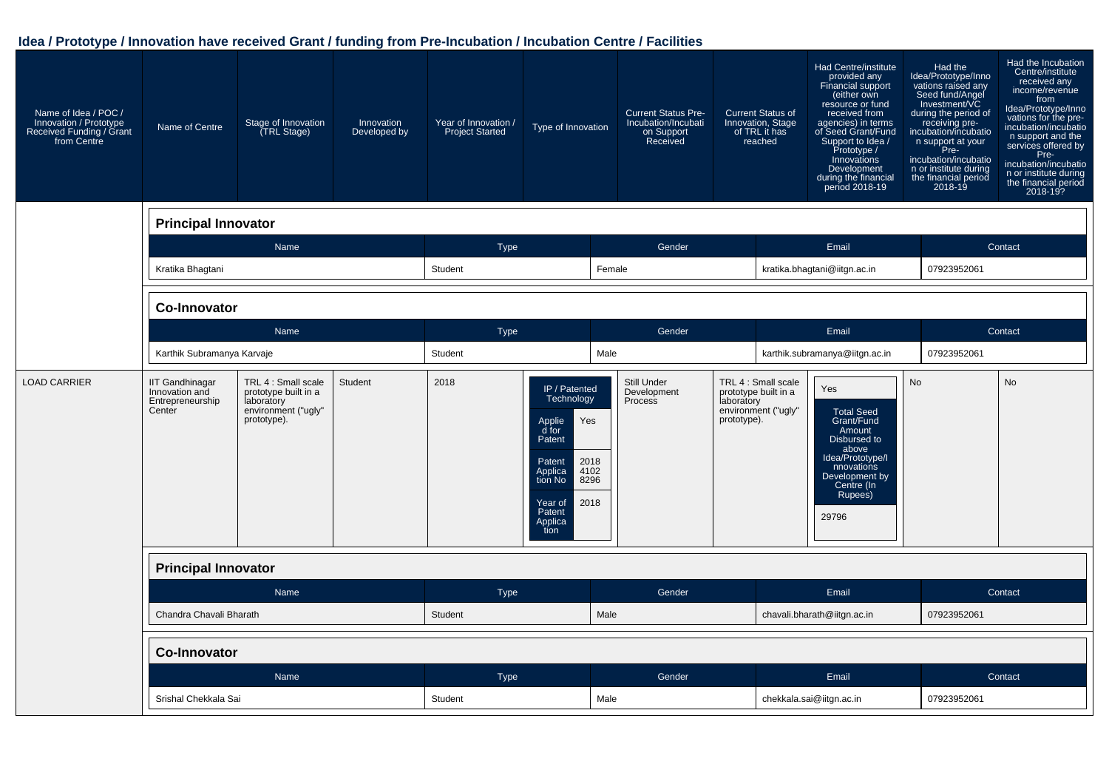| Name of Idea / POC /<br>Innovation / Prototype<br>Received Funding / Grant<br>from Centre | Name of Centre                                                         | Stage of Innovation<br>TRL Stage)                                                               | Innovation<br>Developed by | Year of Innovation /<br><b>Project Started</b> | Type of Innovation                                                                                                                                                      | <b>Current Status Pre-</b><br>Incubation/Incubati<br>on Support<br>Received | <b>Current Status of</b><br>Innovation, Stage<br>reached                                        | of TRL it has | Had Centre/institute<br>provided any<br>Financial support<br>(either own<br>resource or fund<br>received from<br>agencies) in terms<br>of Seed Grant/Fund<br>Support to Idea /<br>Prototype /<br>Innovations<br>Development<br>during the financial<br>period 2018-19 | Had the<br>Idea/Prototype/Inno<br>vations raised any<br>Seed fund/Angel<br>during the period of<br>receiving pre-<br>incubation/incubatio<br>n support at your<br>Pre-<br>incubation/incubatio<br>n or institute during<br>the financial period<br>2018-19 | Had the Incubation<br>Centre/institute<br>received any<br>income/revenue<br>from<br>Idea/Prototype/Inno<br>vations for the pre-<br>incubation/incubatio<br>n support and the<br>services offered by<br>Pre-<br>incubation/incubatio<br>n or institute during<br>the financial period<br>2018-19? |
|-------------------------------------------------------------------------------------------|------------------------------------------------------------------------|-------------------------------------------------------------------------------------------------|----------------------------|------------------------------------------------|-------------------------------------------------------------------------------------------------------------------------------------------------------------------------|-----------------------------------------------------------------------------|-------------------------------------------------------------------------------------------------|---------------|-----------------------------------------------------------------------------------------------------------------------------------------------------------------------------------------------------------------------------------------------------------------------|------------------------------------------------------------------------------------------------------------------------------------------------------------------------------------------------------------------------------------------------------------|--------------------------------------------------------------------------------------------------------------------------------------------------------------------------------------------------------------------------------------------------------------------------------------------------|
|                                                                                           | <b>Principal Innovator</b>                                             |                                                                                                 |                            |                                                |                                                                                                                                                                         |                                                                             |                                                                                                 |               |                                                                                                                                                                                                                                                                       |                                                                                                                                                                                                                                                            |                                                                                                                                                                                                                                                                                                  |
|                                                                                           |                                                                        | Name                                                                                            |                            | <b>Type</b>                                    |                                                                                                                                                                         | Gender                                                                      |                                                                                                 |               | Email                                                                                                                                                                                                                                                                 |                                                                                                                                                                                                                                                            | Contact                                                                                                                                                                                                                                                                                          |
|                                                                                           | Kratika Bhagtani                                                       |                                                                                                 |                            | Student                                        | Female                                                                                                                                                                  |                                                                             |                                                                                                 |               | kratika.bhagtani@iitgn.ac.in                                                                                                                                                                                                                                          | 07923952061                                                                                                                                                                                                                                                |                                                                                                                                                                                                                                                                                                  |
|                                                                                           | <b>Co-Innovator</b>                                                    |                                                                                                 |                            |                                                |                                                                                                                                                                         |                                                                             |                                                                                                 |               |                                                                                                                                                                                                                                                                       |                                                                                                                                                                                                                                                            |                                                                                                                                                                                                                                                                                                  |
|                                                                                           |                                                                        | Name                                                                                            |                            | Type                                           |                                                                                                                                                                         | Gender                                                                      |                                                                                                 |               | Email                                                                                                                                                                                                                                                                 |                                                                                                                                                                                                                                                            | Contact                                                                                                                                                                                                                                                                                          |
|                                                                                           | Karthik Subramanya Karvaje                                             |                                                                                                 |                            | Student                                        | Male                                                                                                                                                                    |                                                                             |                                                                                                 |               | karthik.subramanya@iitgn.ac.in                                                                                                                                                                                                                                        | 07923952061                                                                                                                                                                                                                                                |                                                                                                                                                                                                                                                                                                  |
| <b>LOAD CARRIER</b>                                                                       | <b>IIT Gandhinagar</b><br>Innovation and<br>Entrepreneurship<br>Center | TRL 4 : Small scale<br>prototype built in a<br>laboratory<br>environment ("ugly"<br>prototype). | Student                    | 2018                                           | IP / Patented<br>Technology<br>Yes<br>Applie<br>d for<br>Patent<br>2018<br>Patent<br>4102<br>Applica<br>8296<br>tion No<br>2018<br>Year of<br>Patent<br>Applica<br>tion | Still Under<br>Development<br>Process                                       | TRL 4 : Small scale<br>prototype built in a<br>laboratory<br>environment ("ugly"<br>prototype). |               | Yes<br><b>Total Seed</b><br>Grant/Fund<br>Amount<br>Disbursed to<br>above<br>Idea/Prototype/I<br>nnovations<br>Development by<br>Centre (In<br>Rupees)<br>29796                                                                                                       | <b>No</b>                                                                                                                                                                                                                                                  | No                                                                                                                                                                                                                                                                                               |
|                                                                                           | <b>Principal Innovator</b>                                             |                                                                                                 |                            |                                                |                                                                                                                                                                         |                                                                             |                                                                                                 |               |                                                                                                                                                                                                                                                                       |                                                                                                                                                                                                                                                            |                                                                                                                                                                                                                                                                                                  |
|                                                                                           |                                                                        | Name                                                                                            |                            | <b>Type</b>                                    |                                                                                                                                                                         | Gender                                                                      |                                                                                                 |               | Email                                                                                                                                                                                                                                                                 |                                                                                                                                                                                                                                                            | Contact                                                                                                                                                                                                                                                                                          |
|                                                                                           | Chandra Chavali Bharath                                                |                                                                                                 |                            | Student                                        | Male                                                                                                                                                                    |                                                                             |                                                                                                 |               | chavali.bharath@iitgn.ac.in                                                                                                                                                                                                                                           | 07923952061                                                                                                                                                                                                                                                |                                                                                                                                                                                                                                                                                                  |
|                                                                                           | <b>Co-Innovator</b>                                                    |                                                                                                 |                            |                                                |                                                                                                                                                                         |                                                                             |                                                                                                 |               |                                                                                                                                                                                                                                                                       |                                                                                                                                                                                                                                                            |                                                                                                                                                                                                                                                                                                  |
|                                                                                           |                                                                        | Name                                                                                            |                            | <b>Type</b>                                    |                                                                                                                                                                         | Gender                                                                      |                                                                                                 |               | Email                                                                                                                                                                                                                                                                 |                                                                                                                                                                                                                                                            | Contact                                                                                                                                                                                                                                                                                          |
|                                                                                           | Srishal Chekkala Sai                                                   |                                                                                                 |                            | Student                                        | Male                                                                                                                                                                    |                                                                             |                                                                                                 |               | chekkala.sai@iitgn.ac.in                                                                                                                                                                                                                                              | 07923952061                                                                                                                                                                                                                                                |                                                                                                                                                                                                                                                                                                  |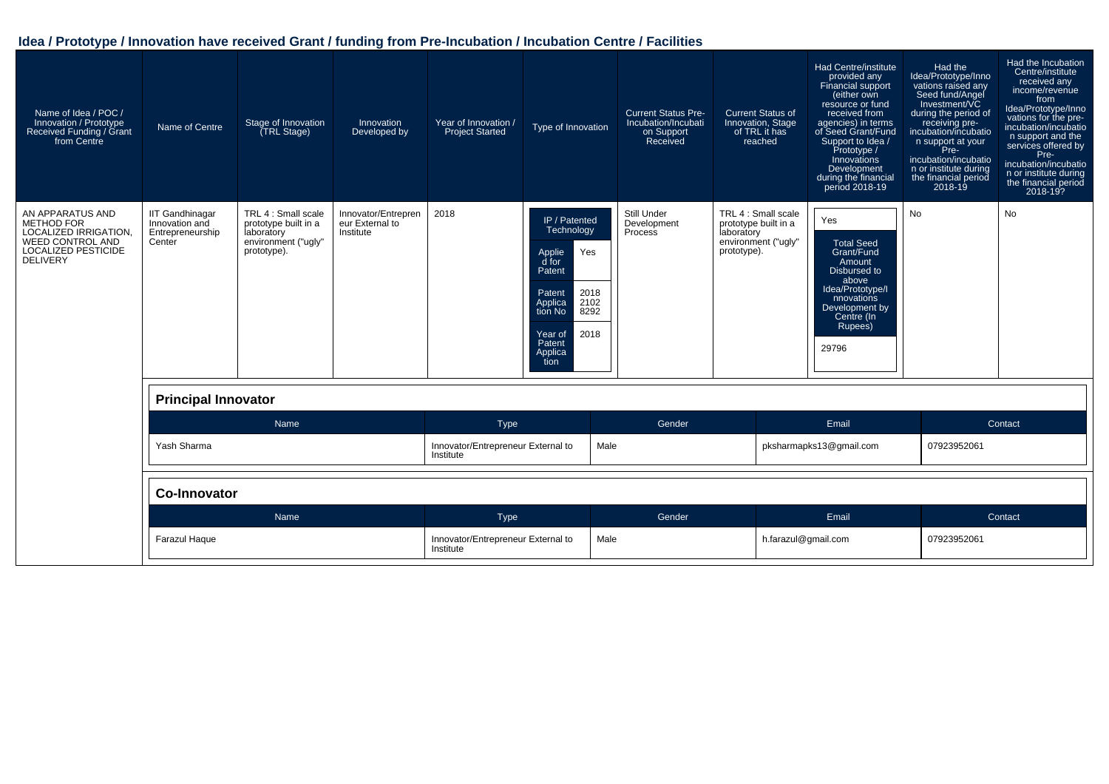| Name of Idea / POC /<br>Innovation / Prototype<br>Received Funding / Grant<br>from Centre                                           | Name of Centre                                                         | Stage of Innovation<br>(TRL Stage)                                                              | Innovation<br>Developed by                          | Year of Innovation /<br><b>Project Started</b>  | Type of Innovation                                                                                                                                                      | <b>Current Status Pre-</b><br>Incubation/Incubati<br>on Support<br>Received | <b>Current Status of</b><br>Innovation, Stage<br>of TRL it has<br>reached                       | Had Centre/institute<br>provided any<br>Financial support<br>(either own<br>resource or fund<br>received from<br>agencies) in terms<br>of Seed Grant/Fund<br>Support to Idea /<br>Prototype /<br>Innovations<br>Development<br>during the financial<br>period 2018-19 | Had the<br>Idea/Prototype/Inno<br>vations raised any<br>Seed fund/Angel<br>Investment/VC<br>during the period of<br>receiving pre-<br>receiving pre-<br>incubation/incubatio<br>n support at your<br>Pre-<br>incubation/incubatio<br>n or institute during<br>the financial period<br>$2018 - 19$ | Had the Incubation<br>Centre/institute<br>received any<br>income/revenue<br>from<br>Idea/Prototype/Inno<br>vations for the pre-<br>incubation/incubatio<br>n support and the<br>services offered by<br>Pre-<br>incubation/incubatio<br>n or institute during<br>the financial period<br>2018-19? |
|-------------------------------------------------------------------------------------------------------------------------------------|------------------------------------------------------------------------|-------------------------------------------------------------------------------------------------|-----------------------------------------------------|-------------------------------------------------|-------------------------------------------------------------------------------------------------------------------------------------------------------------------------|-----------------------------------------------------------------------------|-------------------------------------------------------------------------------------------------|-----------------------------------------------------------------------------------------------------------------------------------------------------------------------------------------------------------------------------------------------------------------------|---------------------------------------------------------------------------------------------------------------------------------------------------------------------------------------------------------------------------------------------------------------------------------------------------|--------------------------------------------------------------------------------------------------------------------------------------------------------------------------------------------------------------------------------------------------------------------------------------------------|
| AN APPARATUS AND<br><b>METHOD FOR</b><br>LOCALIZED IRRIGATION.<br><b>WEED CONTROL AND</b><br>LOCALIZED PESTICIDE<br><b>DELIVERY</b> | <b>IIT Gandhinagar</b><br>Innovation and<br>Entrepreneurship<br>Center | TRL 4 : Small scale<br>prototype built in a<br>laboratory<br>environment ("ugly"<br>prototype). | Innovator/Entrepren<br>eur External to<br>Institute | 2018                                            | IP / Patented<br>Technology<br>Yes<br>Applie<br>d for<br>Patent<br>2018<br>Patent<br>Applica<br>tion No<br>2102<br>8292<br>2018<br>Year of<br>Patent<br>Applica<br>tion | Still Under<br>Development<br>Process                                       | TRL 4 : Small scale<br>prototype built in a<br>laboratory<br>environment ("ugly"<br>prototype). | Yes<br><b>Total Seed</b><br>Grant/Fund<br>Amount<br>Disbursed to<br>above<br>Idea/Prototype/I<br>nnovations<br>Development by<br>Centre (In<br>Rupees)<br>29796                                                                                                       | No                                                                                                                                                                                                                                                                                                | <b>No</b>                                                                                                                                                                                                                                                                                        |
|                                                                                                                                     | <b>Principal Innovator</b>                                             |                                                                                                 |                                                     |                                                 |                                                                                                                                                                         |                                                                             |                                                                                                 |                                                                                                                                                                                                                                                                       |                                                                                                                                                                                                                                                                                                   |                                                                                                                                                                                                                                                                                                  |
|                                                                                                                                     |                                                                        | Name                                                                                            |                                                     | Type                                            |                                                                                                                                                                         | Gender                                                                      |                                                                                                 | Email                                                                                                                                                                                                                                                                 |                                                                                                                                                                                                                                                                                                   | Contact                                                                                                                                                                                                                                                                                          |
|                                                                                                                                     | Yash Sharma                                                            |                                                                                                 |                                                     | Innovator/Entrepreneur External to<br>Institute |                                                                                                                                                                         | Male                                                                        |                                                                                                 | pksharmapks13@gmail.com                                                                                                                                                                                                                                               | 07923952061                                                                                                                                                                                                                                                                                       |                                                                                                                                                                                                                                                                                                  |
|                                                                                                                                     | <b>Co-Innovator</b>                                                    |                                                                                                 |                                                     |                                                 |                                                                                                                                                                         |                                                                             |                                                                                                 |                                                                                                                                                                                                                                                                       |                                                                                                                                                                                                                                                                                                   |                                                                                                                                                                                                                                                                                                  |
|                                                                                                                                     |                                                                        | Name                                                                                            |                                                     | Type                                            |                                                                                                                                                                         | Gender                                                                      |                                                                                                 | Email                                                                                                                                                                                                                                                                 |                                                                                                                                                                                                                                                                                                   | Contact                                                                                                                                                                                                                                                                                          |
|                                                                                                                                     | <b>Farazul Haque</b>                                                   |                                                                                                 |                                                     | Innovator/Entrepreneur External to<br>Institute |                                                                                                                                                                         | Male                                                                        |                                                                                                 | h.farazul@gmail.com                                                                                                                                                                                                                                                   | 07923952061                                                                                                                                                                                                                                                                                       |                                                                                                                                                                                                                                                                                                  |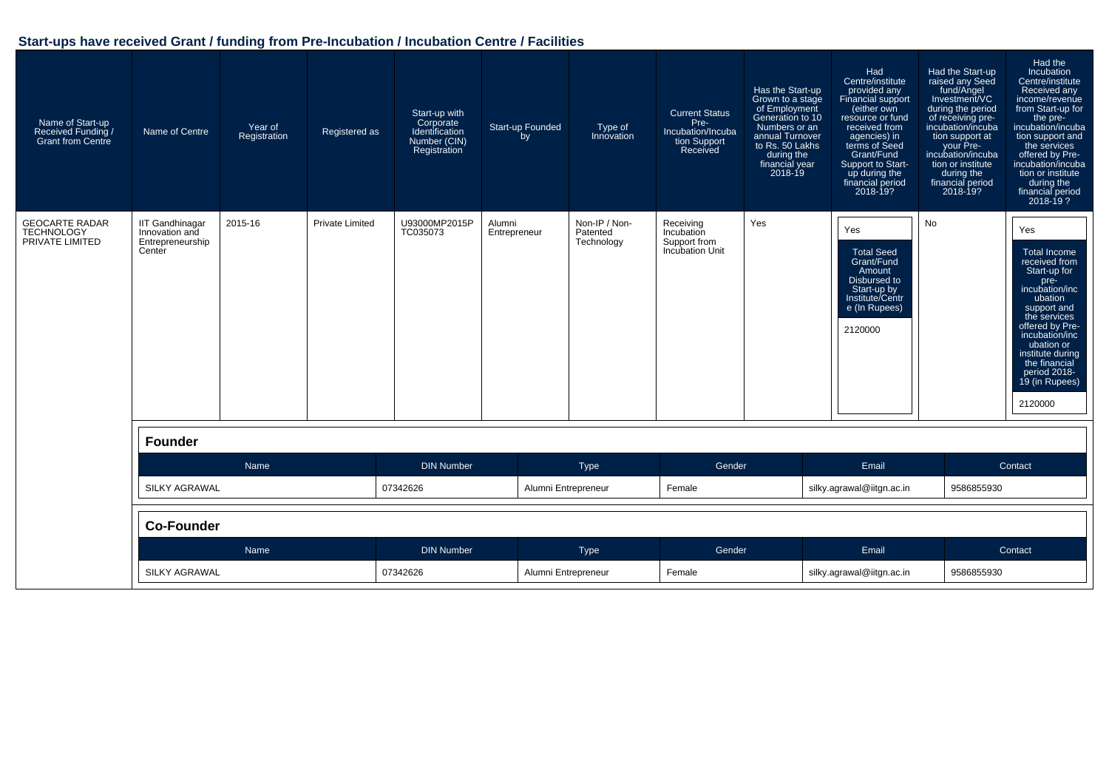| Name of Start-up<br>Received Funding /<br><b>Grant from Centre</b> | Name of Centre                                                         | Year of<br>Registration | Registered as          | Start-up with<br>Corporate<br>Identification<br>Number (CIN)<br>Registration | Start-up Founded<br>by | Type of<br>Innovation                   | <b>Current Status</b><br>Pre-<br>Incubation/Incuba<br>tion Support<br>Received | Has the Start-up<br>Grown to a stage<br>of Employment<br>Generation to 10<br>Numbers or an<br>annual Turnover<br>to Rs. 50 Lakhs<br>during the<br>financial year<br>2018-19 | Had<br>Centre/institute<br>provided any<br>Financial support<br>(either own<br>resource or fund<br>received from<br>agencies) in<br>terms of Seed<br>Grant/Fund<br>Support to Start-<br>up during the<br>financial period<br>2018-19? | Had the Start-up<br>raised any Seed<br>fund/Angel<br>Investment/VC<br>during the period<br>of receiving pre-<br>incubation/incuba<br>tion support at<br>your Pre-<br>incubation/incuba<br>tion or institute<br>during the<br>financial period<br>2018-19? | Had the<br>Incubation<br>Centre/institute<br>Received any<br>income/revenue<br>from Start-up for<br>the pre-<br>incubation/incuba<br>tion support and<br>the services<br>offered by Pre-<br>incubation/incuba<br>tion or institute<br>during the<br>financial period<br>2018-19 ? |  |
|--------------------------------------------------------------------|------------------------------------------------------------------------|-------------------------|------------------------|------------------------------------------------------------------------------|------------------------|-----------------------------------------|--------------------------------------------------------------------------------|-----------------------------------------------------------------------------------------------------------------------------------------------------------------------------|---------------------------------------------------------------------------------------------------------------------------------------------------------------------------------------------------------------------------------------|-----------------------------------------------------------------------------------------------------------------------------------------------------------------------------------------------------------------------------------------------------------|-----------------------------------------------------------------------------------------------------------------------------------------------------------------------------------------------------------------------------------------------------------------------------------|--|
| <b>GEOCARTE RADAR</b><br><b>TECHNOLOGY</b><br>PRIVATE LIMITED      | <b>IIT Gandhinagar</b><br>Innovation and<br>Entrepreneurship<br>Center | 2015-16                 | <b>Private Limited</b> | U93000MP2015P<br>TC035073                                                    | Alumni<br>Entrepreneur | Non-IP / Non-<br>Patented<br>Technology | Receiving<br>Incubation<br>Support from<br>Incubation Unit                     | Yes                                                                                                                                                                         | Yes<br><b>Total Seed</b><br>Grant/Fund<br>Amount<br>Disbursed to<br>Start-up by<br>Institute/Centr<br>e (In Rupees)<br>2120000                                                                                                        | <b>No</b>                                                                                                                                                                                                                                                 | Yes<br><b>Total Income</b><br>received from<br>Start-up for<br>pre-<br>incubation/inc<br>ubation<br>support and<br>the services<br>offered by Pre-<br>incubation/inc<br>ubation or<br>institute during<br>the financial<br>period 2018-<br>19 (in Rupees)<br>2120000              |  |
|                                                                    | <b>Founder</b>                                                         |                         |                        |                                                                              |                        |                                         |                                                                                |                                                                                                                                                                             |                                                                                                                                                                                                                                       |                                                                                                                                                                                                                                                           |                                                                                                                                                                                                                                                                                   |  |
|                                                                    |                                                                        | Name                    |                        | <b>DIN Number</b>                                                            |                        | Type                                    | Gender                                                                         |                                                                                                                                                                             | Email                                                                                                                                                                                                                                 |                                                                                                                                                                                                                                                           | Contact                                                                                                                                                                                                                                                                           |  |
|                                                                    | <b>SILKY AGRAWAL</b>                                                   |                         |                        | 07342626                                                                     |                        | Alumni Entrepreneur                     | Female                                                                         |                                                                                                                                                                             | silky.agrawal@iitgn.ac.in                                                                                                                                                                                                             | 9586855930                                                                                                                                                                                                                                                |                                                                                                                                                                                                                                                                                   |  |
|                                                                    | <b>Co-Founder</b>                                                      |                         |                        |                                                                              |                        |                                         |                                                                                |                                                                                                                                                                             |                                                                                                                                                                                                                                       |                                                                                                                                                                                                                                                           |                                                                                                                                                                                                                                                                                   |  |
|                                                                    |                                                                        | Name                    |                        | <b>DIN Number</b>                                                            |                        | Type                                    | Gender                                                                         |                                                                                                                                                                             | Email                                                                                                                                                                                                                                 |                                                                                                                                                                                                                                                           | Contact                                                                                                                                                                                                                                                                           |  |
|                                                                    | <b>SILKY AGRAWAL</b>                                                   |                         |                        | 07342626                                                                     |                        | Alumni Entrepreneur                     |                                                                                | Female                                                                                                                                                                      |                                                                                                                                                                                                                                       | silky.agrawal@iitgn.ac.in<br>9586855930                                                                                                                                                                                                                   |                                                                                                                                                                                                                                                                                   |  |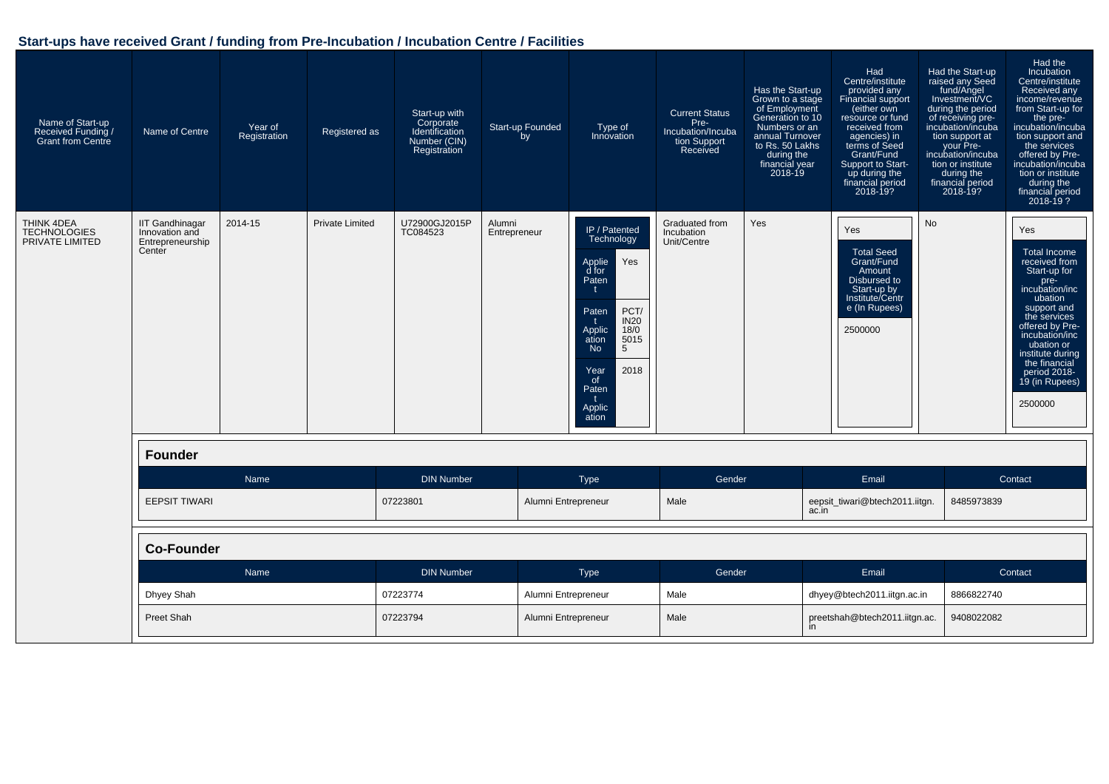| Name of Start-up<br>Received Funding /<br><b>Grant from Centre</b> | Name of Centre                                                         | Year of<br>Registration | Registered as          | Start-up with<br>Corporate<br>Identification<br>Number (CIN)<br>Registration | Start-up Founded<br>by | Type of<br>Innovation                                                                                                                                                                                                            | <b>Current Status</b><br>Pre-<br>Incubation/Incuba<br>tion Support<br>Received | Has the Start-up<br>Grown to a stage<br>of Employment<br>Generation to 10<br>Numbers or an<br>annual Turnover<br>to Rs. 50 Lakhs<br>during the<br>financial year<br>$2018 - 19$ | Had<br>Centre/institute<br>provided any<br>Financial support<br>either own<br>resource or fund<br>received from<br>agencies) in<br>terms of Seed<br>Grant/Fund<br>Support to Start-<br>up during the<br>financial period<br>2018-19? | Had the Start-up<br>raised any Seed<br>fund/Angel<br>Investment/VC<br>during the period<br>of receiving pre-<br>incubation/incuba<br>tion support at<br>your Pre-<br>incubation/incuba<br>tion or institute<br>during the<br>financial period<br>2018-19? | Had the<br><b>Incubation</b><br>Centre/institute<br>Received any<br>income/revenue<br>from Start-up for<br>the pre-<br>incubation/incuba<br>tion support and<br>the services<br>offered by Pre-<br>incubation/incuba<br>tion or institute<br>during the<br>financial period<br>$2018 - 19$ ? |  |
|--------------------------------------------------------------------|------------------------------------------------------------------------|-------------------------|------------------------|------------------------------------------------------------------------------|------------------------|----------------------------------------------------------------------------------------------------------------------------------------------------------------------------------------------------------------------------------|--------------------------------------------------------------------------------|---------------------------------------------------------------------------------------------------------------------------------------------------------------------------------|--------------------------------------------------------------------------------------------------------------------------------------------------------------------------------------------------------------------------------------|-----------------------------------------------------------------------------------------------------------------------------------------------------------------------------------------------------------------------------------------------------------|----------------------------------------------------------------------------------------------------------------------------------------------------------------------------------------------------------------------------------------------------------------------------------------------|--|
| THINK 4DEA<br><b>TECHNOLOGIES</b><br>PRIVATE LIMITED               | <b>IIT Gandhinagar</b><br>Innovation and<br>Entrepreneurship<br>Center | 2014-15                 | <b>Private Limited</b> | U72900GJ2015P<br>TC084523                                                    | Alumni<br>Entrepreneur | IP / Patented<br>Technology<br>Yes<br>Applie<br>d for<br>Paten<br>t<br>PCT/<br>Paten<br><b>IN20</b><br>t.<br>Applic<br>ation<br>18/0<br>5015<br>5<br><b>No</b><br>2018<br>Year<br><sub>of</sub><br>Paten<br>t<br>Applic<br>ation | Graduated from<br>Incubation<br>Unit/Centre                                    | Yes                                                                                                                                                                             | Yes<br><b>Total Seed</b><br>Grant/Fund<br>Amount<br>Disbursed to<br>Start-up by<br>Institute/Centr<br>e (In Rupees)<br>2500000                                                                                                       | No                                                                                                                                                                                                                                                        | Yes<br><b>Total Income</b><br>received from<br>Start-up for<br>pre-<br>incubation/inc<br>ubation<br>support and<br>the services<br>offered by Pre-<br>incubation/inc<br>ubation or<br>institute during<br>the financial<br>period 2018-<br>19 (in Rupees)<br>2500000                         |  |
|                                                                    | <b>Founder</b>                                                         |                         |                        |                                                                              |                        |                                                                                                                                                                                                                                  |                                                                                |                                                                                                                                                                                 |                                                                                                                                                                                                                                      |                                                                                                                                                                                                                                                           |                                                                                                                                                                                                                                                                                              |  |
|                                                                    |                                                                        | Name                    |                        | <b>DIN Number</b>                                                            |                        | Type                                                                                                                                                                                                                             | Gender                                                                         |                                                                                                                                                                                 | Email                                                                                                                                                                                                                                |                                                                                                                                                                                                                                                           | Contact                                                                                                                                                                                                                                                                                      |  |
|                                                                    | <b>EEPSIT TIWARI</b>                                                   |                         |                        | 07223801                                                                     |                        | Alumni Entrepreneur                                                                                                                                                                                                              | Male                                                                           | ac.in                                                                                                                                                                           | eepsit_tiwari@btech2011.iitgn.                                                                                                                                                                                                       | 8485973839                                                                                                                                                                                                                                                |                                                                                                                                                                                                                                                                                              |  |
|                                                                    | <b>Co-Founder</b>                                                      |                         |                        |                                                                              |                        |                                                                                                                                                                                                                                  |                                                                                |                                                                                                                                                                                 |                                                                                                                                                                                                                                      |                                                                                                                                                                                                                                                           |                                                                                                                                                                                                                                                                                              |  |
|                                                                    |                                                                        | Name                    |                        | <b>DIN Number</b>                                                            |                        | <b>Type</b>                                                                                                                                                                                                                      | Gender                                                                         |                                                                                                                                                                                 | Email                                                                                                                                                                                                                                |                                                                                                                                                                                                                                                           | Contact                                                                                                                                                                                                                                                                                      |  |
|                                                                    | Dhyey Shah                                                             |                         |                        | 07223774                                                                     |                        | Alumni Entrepreneur                                                                                                                                                                                                              | Male                                                                           |                                                                                                                                                                                 | dhyey@btech2011.iitgn.ac.in                                                                                                                                                                                                          | 8866822740                                                                                                                                                                                                                                                |                                                                                                                                                                                                                                                                                              |  |
|                                                                    | Preet Shah                                                             |                         |                        | 07223794                                                                     |                        | Alumni Entrepreneur                                                                                                                                                                                                              | Male                                                                           | <i>in</i>                                                                                                                                                                       | preetshah@btech2011.iitgn.ac.                                                                                                                                                                                                        | 9408022082                                                                                                                                                                                                                                                |                                                                                                                                                                                                                                                                                              |  |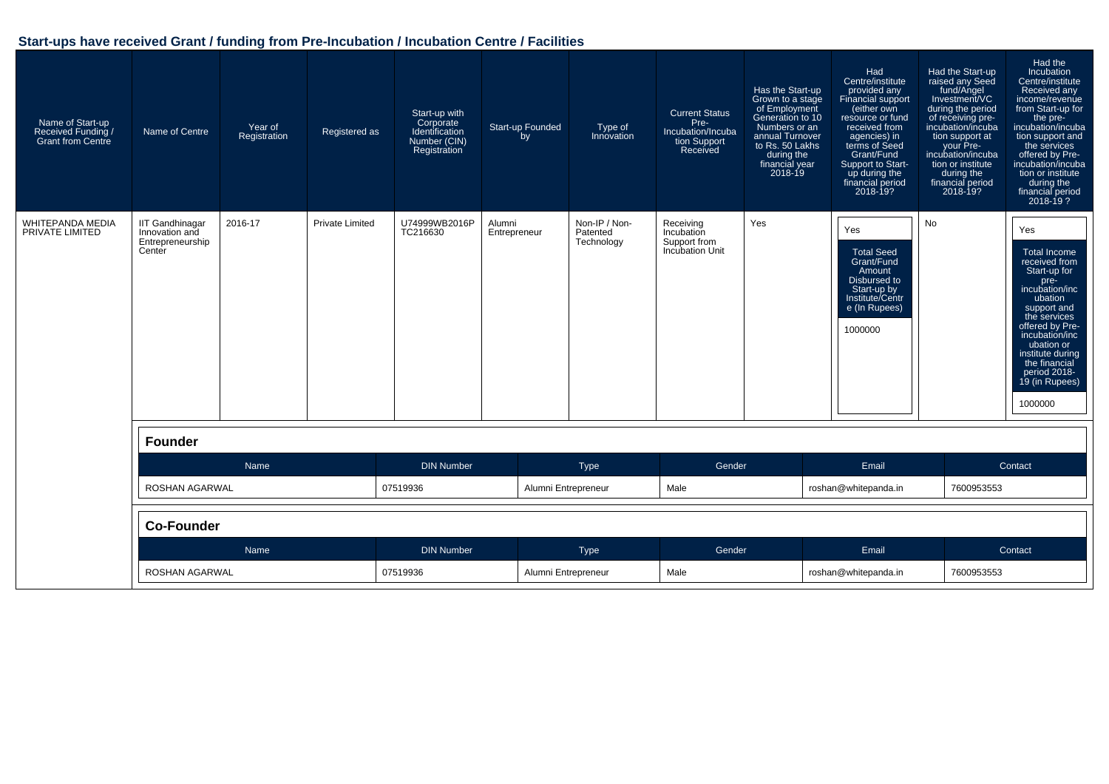| Name of Start-up<br>Received Funding<br><b>Grant from Centre</b> | Name of Centre                                                         | Year of<br>Registration | Registered as          | Start-up with<br>Corporate<br>Identification<br>Number (CIN)<br>Registration | Start-up Founded<br>by | Type of<br>Innovation                   | <b>Current Status</b><br>Pre-<br>Incubation/Incuba<br>tion Support<br>Received | Has the Start-up<br>Grown to a stage<br>of Employment<br>Generation to 10<br>Numbers or an<br>annual Turnover<br>to Rs. 50 Lakhs<br>during the<br>financial year<br>$2018 - 19$ | Had<br>Centre/institute<br>provided any<br><b>Financial support</b><br>(either own<br>resource or fund<br>received from<br>agencies) in<br>terms of Seed<br>Grant/Fund<br>Support to Start-<br>up during the<br>financial period<br>2018-19? | Had the Start-up<br>raised any Seed<br>fund/Angel<br>Investment/VC<br>during the period<br>of receiving pre-<br>incubation/incuba<br>tion support at<br>your Pre-<br>incubation/incuba<br>tion or institute<br>during the<br>financial period<br>$2018 - 19?$ | Had the<br>Incubation<br>Centre/institute<br>Received any<br>income/revenue<br>from Start-up for<br>the pre-<br>incubation/incuba<br>tion support and<br>the services<br>offered by Pre-<br>incubation/incuba<br>tion or institute<br>during the<br>financial period<br>2018-19? |
|------------------------------------------------------------------|------------------------------------------------------------------------|-------------------------|------------------------|------------------------------------------------------------------------------|------------------------|-----------------------------------------|--------------------------------------------------------------------------------|---------------------------------------------------------------------------------------------------------------------------------------------------------------------------------|----------------------------------------------------------------------------------------------------------------------------------------------------------------------------------------------------------------------------------------------|---------------------------------------------------------------------------------------------------------------------------------------------------------------------------------------------------------------------------------------------------------------|----------------------------------------------------------------------------------------------------------------------------------------------------------------------------------------------------------------------------------------------------------------------------------|
| <b>WHITEPANDA MEDIA</b><br>PRIVATE LIMITED                       | <b>IIT Gandhinagar</b><br>Innovation and<br>Entrepreneurship<br>Center | 2016-17                 | <b>Private Limited</b> | U74999WB2016P<br>TC216630                                                    | Alumni<br>Entrepreneur | Non-IP / Non-<br>Patented<br>Technology | Receiving<br>Incubation<br>Support from<br>Incubation Unit                     | Yes                                                                                                                                                                             | Yes<br><b>Total Seed</b><br>Grant/Fund<br>Amount<br>Disbursed to<br>Start-up by<br>Institute/Centr<br>e (In Rupees)<br>1000000                                                                                                               | No                                                                                                                                                                                                                                                            | Yes<br><b>Total Income</b><br>received from<br>Start-up for<br>pre-<br>incubation/inc<br>ubation<br>support and<br>the services<br>offered by Pre-<br>incubation/inc<br>ubation or<br>institute during<br>the financial<br>period 2018-<br>19 (in Rupees)<br>1000000             |
|                                                                  | <b>Founder</b>                                                         |                         |                        |                                                                              |                        |                                         |                                                                                |                                                                                                                                                                                 |                                                                                                                                                                                                                                              |                                                                                                                                                                                                                                                               |                                                                                                                                                                                                                                                                                  |
|                                                                  |                                                                        | Name                    |                        | <b>DIN Number</b>                                                            |                        | <b>Type</b>                             | Gender                                                                         |                                                                                                                                                                                 | Email                                                                                                                                                                                                                                        |                                                                                                                                                                                                                                                               | Contact                                                                                                                                                                                                                                                                          |
|                                                                  | ROSHAN AGARWAL                                                         |                         |                        | 07519936                                                                     |                        | Alumni Entrepreneur                     | Male                                                                           |                                                                                                                                                                                 | roshan@whitepanda.in                                                                                                                                                                                                                         | 7600953553                                                                                                                                                                                                                                                    |                                                                                                                                                                                                                                                                                  |
|                                                                  | <b>Co-Founder</b>                                                      |                         |                        |                                                                              |                        |                                         |                                                                                |                                                                                                                                                                                 |                                                                                                                                                                                                                                              |                                                                                                                                                                                                                                                               |                                                                                                                                                                                                                                                                                  |
|                                                                  |                                                                        | Name                    |                        | <b>DIN Number</b>                                                            |                        | Type                                    | Gender                                                                         |                                                                                                                                                                                 | Email                                                                                                                                                                                                                                        |                                                                                                                                                                                                                                                               | Contact                                                                                                                                                                                                                                                                          |
|                                                                  | ROSHAN AGARWAL                                                         |                         |                        | 07519936                                                                     |                        | Alumni Entrepreneur                     | Male                                                                           |                                                                                                                                                                                 | roshan@whitepanda.in                                                                                                                                                                                                                         | 7600953553                                                                                                                                                                                                                                                    |                                                                                                                                                                                                                                                                                  |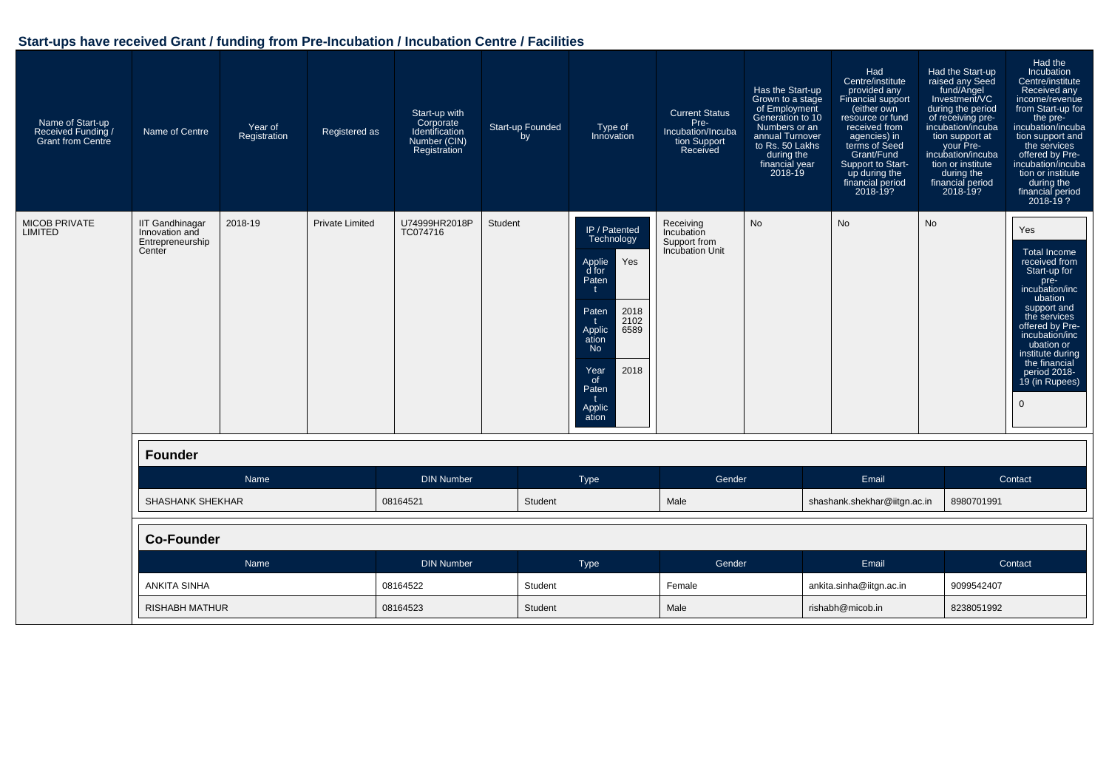| Name of Start-up<br>Received Funding /<br><b>Grant from Centre</b> | Name of Centre                                                         | Year of<br>Registration | Registered as          | Start-up with<br>Corporate<br>Identification<br>Number (CIN)<br>Registration | Start-up Founded<br>by | Type of<br>Innovation                                                                                                                                                                             | <b>Current Status</b><br>Pre-<br>Incubation/Incuba<br>tion Support<br>Received | Has the Start-up<br>Grown to a stage<br>of Employment<br>Generation to 10<br>Numbers or an<br>annual Turnover<br>to Rs. 50 Lakhs<br>during the<br>financial year<br>$2018 - 19$ | Had<br>Centre/institute<br>provided any<br>Financial support<br>(either own<br>resource or fund<br>received from<br>agencies) in<br>terms of Seed<br>Grant/Fund<br>Support to Start-<br>up during the<br>financial period<br>2018-19? | Had the Start-up<br>raised any Seed<br>fund/Angel<br>Investment/VC<br>during the period<br>of receiving pre-<br>incubation/incuba<br>tion support at<br>your Pre-<br>incubation/incuba<br>tion or institute<br>during the<br>financial period<br>2018-19? | Had the<br>Incubation<br>Centre/institute<br>Received any<br>income/revenue<br>from Start-up for<br>the pre-<br>incubation/incuba<br>tion support and<br>the services<br>offered by Pre-<br>incubation/incuba<br>tion or institute<br>during the<br>financial period<br>$2018 - 19$ ? |  |
|--------------------------------------------------------------------|------------------------------------------------------------------------|-------------------------|------------------------|------------------------------------------------------------------------------|------------------------|---------------------------------------------------------------------------------------------------------------------------------------------------------------------------------------------------|--------------------------------------------------------------------------------|---------------------------------------------------------------------------------------------------------------------------------------------------------------------------------|---------------------------------------------------------------------------------------------------------------------------------------------------------------------------------------------------------------------------------------|-----------------------------------------------------------------------------------------------------------------------------------------------------------------------------------------------------------------------------------------------------------|---------------------------------------------------------------------------------------------------------------------------------------------------------------------------------------------------------------------------------------------------------------------------------------|--|
| <b>MICOB PRIVATE</b><br><b>LIMITED</b>                             | <b>IIT Gandhinagar</b><br>Innovation and<br>Entrepreneurship<br>Center | 2018-19                 | <b>Private Limited</b> | U74999HR2018P<br>TC074716                                                    | Student                | IP / Patented<br>Technology<br>Yes<br>Applie<br>d for<br>Paten<br>2018<br>Paten<br>2102<br>6589<br>Applic<br>ation<br><b>No</b><br>2018<br>Year<br>of<br>Paten<br>$\pm$<br><b>Applic</b><br>ation | Receiving<br>Incubation<br>Support from<br><b>Incubation Unit</b>              | <b>No</b>                                                                                                                                                                       | No                                                                                                                                                                                                                                    | <b>No</b>                                                                                                                                                                                                                                                 | Yes<br><b>Total Income</b><br>received from<br>Start-up for<br>pre-<br>incubation/inc<br>ubation<br>support and<br>the services<br>offered by Pre-<br>incubation/inc<br>ubation or<br>institute during<br>the financial<br>period 2018-<br>19 (in Rupees)<br>$\Omega$                 |  |
|                                                                    | <b>Founder</b>                                                         |                         |                        |                                                                              |                        |                                                                                                                                                                                                   |                                                                                |                                                                                                                                                                                 |                                                                                                                                                                                                                                       |                                                                                                                                                                                                                                                           |                                                                                                                                                                                                                                                                                       |  |
|                                                                    |                                                                        | Name                    |                        | <b>DIN Number</b>                                                            |                        | Type                                                                                                                                                                                              | Gender                                                                         |                                                                                                                                                                                 | Email                                                                                                                                                                                                                                 |                                                                                                                                                                                                                                                           | Contact                                                                                                                                                                                                                                                                               |  |
|                                                                    | <b>SHASHANK SHEKHAR</b>                                                |                         |                        | 08164521                                                                     | Student                |                                                                                                                                                                                                   | Male                                                                           |                                                                                                                                                                                 | shashank.shekhar@iitgn.ac.in                                                                                                                                                                                                          | 8980701991                                                                                                                                                                                                                                                |                                                                                                                                                                                                                                                                                       |  |
|                                                                    | <b>Co-Founder</b>                                                      |                         |                        |                                                                              |                        |                                                                                                                                                                                                   |                                                                                |                                                                                                                                                                                 |                                                                                                                                                                                                                                       |                                                                                                                                                                                                                                                           |                                                                                                                                                                                                                                                                                       |  |
|                                                                    |                                                                        | Name                    |                        | <b>DIN Number</b>                                                            |                        | Type                                                                                                                                                                                              | Gender                                                                         |                                                                                                                                                                                 | Email                                                                                                                                                                                                                                 |                                                                                                                                                                                                                                                           | Contact                                                                                                                                                                                                                                                                               |  |
|                                                                    | <b>ANKITA SINHA</b>                                                    |                         |                        | 08164522                                                                     | Student                |                                                                                                                                                                                                   | Female                                                                         |                                                                                                                                                                                 | ankita.sinha@iitgn.ac.in                                                                                                                                                                                                              | 9099542407                                                                                                                                                                                                                                                |                                                                                                                                                                                                                                                                                       |  |
|                                                                    | <b>RISHABH MATHUR</b>                                                  |                         |                        | 08164523                                                                     | Student                | Male                                                                                                                                                                                              |                                                                                |                                                                                                                                                                                 | rishabh@micob.in                                                                                                                                                                                                                      | 8238051992                                                                                                                                                                                                                                                |                                                                                                                                                                                                                                                                                       |  |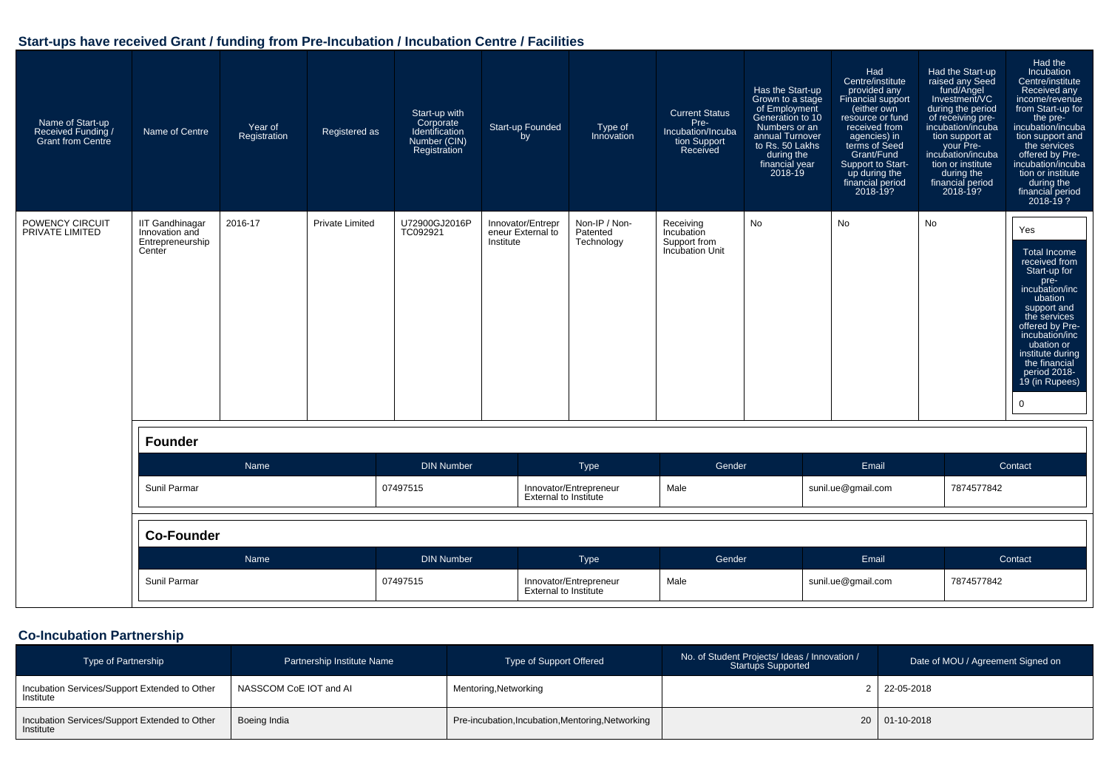| Name of Start-up<br>Received Funding /<br><b>Grant from Centre</b> | Name of Centre                                                         | Year of<br>Registration | Registered as          | Start-up with<br>Corporate<br>Identification<br>Number (CIN)<br>Registration | Start-up Founded<br>by                              | Type of<br>Innovation                                  | <b>Current Status</b><br>Pre-<br>Incubation/Incuba<br>tion Support<br>Received | Has the Start-up<br>Grown to a stage<br>of Employment<br>Generation to 10<br>Numbers or an<br>annual Turnover<br>to Rs. 50 Lakhs<br>during the<br>financial year<br>2018-19 | Had<br>Centre/institute<br>provided any<br>Financial support<br>(either own<br>resource or fund<br>received from<br>agencies) in<br>terms of Seed<br>Grant/Fund<br>Support to Start-<br>up during the<br>financial period<br>2018-19? | Had the Start-up<br>raised any Seed<br>fund/Angel<br>Investment/VC<br>during the period<br>of receiving pre-<br>incubation/incuba<br>tion support at<br>your Pre-<br>incubation/incuba<br>tion or institute<br>during the<br>financial period<br>2018-19? | Had the<br><b>Incubation</b><br>Centre/institute<br>Received any<br>income/revenue<br>from Start-up for<br>the pre-<br>incubation/incuba<br>tion support and<br>the services<br>offered by Pre-<br>incubation/incuba<br>tion or institute<br>during the<br>financial period<br>$2018 - 19$ ? |  |
|--------------------------------------------------------------------|------------------------------------------------------------------------|-------------------------|------------------------|------------------------------------------------------------------------------|-----------------------------------------------------|--------------------------------------------------------|--------------------------------------------------------------------------------|-----------------------------------------------------------------------------------------------------------------------------------------------------------------------------|---------------------------------------------------------------------------------------------------------------------------------------------------------------------------------------------------------------------------------------|-----------------------------------------------------------------------------------------------------------------------------------------------------------------------------------------------------------------------------------------------------------|----------------------------------------------------------------------------------------------------------------------------------------------------------------------------------------------------------------------------------------------------------------------------------------------|--|
| POWENCY CIRCUIT<br>PRIVATE LIMITED                                 | <b>IIT Gandhinagar</b><br>Innovation and<br>Entrepreneurship<br>Center | 2016-17                 | <b>Private Limited</b> | U72900GJ2016P<br>TC092921                                                    | Innovator/Entrepr<br>eneur External to<br>Institute | Non-IP / Non-<br>Patented<br>Technology                | Receiving<br>Incubation<br>Support from<br><b>Incubation Unit</b>              | <b>No</b>                                                                                                                                                                   | <b>No</b>                                                                                                                                                                                                                             | <b>No</b>                                                                                                                                                                                                                                                 | Yes<br>Total Income<br>received from<br>Start-up for<br>pre-<br>incubation/inc<br>ubation<br>support and<br>the services<br>offered by Pre-<br>incubation/inc<br>ubation or<br>institute during<br>the financial<br>period 2018-<br>19 (in Rupees)<br>$\mathbf 0$                            |  |
|                                                                    | <b>Founder</b>                                                         |                         |                        |                                                                              |                                                     |                                                        |                                                                                |                                                                                                                                                                             |                                                                                                                                                                                                                                       |                                                                                                                                                                                                                                                           |                                                                                                                                                                                                                                                                                              |  |
|                                                                    |                                                                        | Name                    |                        | <b>DIN Number</b>                                                            |                                                     | <b>Type</b>                                            | Gender                                                                         |                                                                                                                                                                             | Email                                                                                                                                                                                                                                 |                                                                                                                                                                                                                                                           | Contact                                                                                                                                                                                                                                                                                      |  |
|                                                                    | Sunil Parmar                                                           |                         |                        | 07497515                                                                     |                                                     | Innovator/Entrepreneur<br><b>External to Institute</b> | Male                                                                           |                                                                                                                                                                             | sunil.ue@gmail.com                                                                                                                                                                                                                    | 7874577842                                                                                                                                                                                                                                                |                                                                                                                                                                                                                                                                                              |  |
|                                                                    | <b>Co-Founder</b>                                                      |                         |                        |                                                                              |                                                     |                                                        |                                                                                |                                                                                                                                                                             |                                                                                                                                                                                                                                       |                                                                                                                                                                                                                                                           |                                                                                                                                                                                                                                                                                              |  |
|                                                                    |                                                                        | Name                    |                        | <b>DIN Number</b>                                                            |                                                     | Type                                                   | Gender                                                                         |                                                                                                                                                                             | Email                                                                                                                                                                                                                                 |                                                                                                                                                                                                                                                           | Contact                                                                                                                                                                                                                                                                                      |  |
|                                                                    | Sunil Parmar                                                           |                         |                        | 07497515                                                                     |                                                     | Innovator/Entrepreneur<br><b>External to Institute</b> | Male                                                                           |                                                                                                                                                                             | sunil.ue@gmail.com                                                                                                                                                                                                                    | 7874577842                                                                                                                                                                                                                                                |                                                                                                                                                                                                                                                                                              |  |

## **Co-Incubation Partnership**

| <b>Type of Partnership</b>                                 | Partnership Institute Name | Type of Support Offered                           | No. of Student Projects/ Ideas / Innovation /<br><b>Startups Supported</b> | Date of MOU / Agreement Signed on |
|------------------------------------------------------------|----------------------------|---------------------------------------------------|----------------------------------------------------------------------------|-----------------------------------|
| Incubation Services/Support Extended to Other<br>Institute | NASSCOM CoE IOT and AI     | Mentoring, Networking                             |                                                                            | $2 \mid 22 - 05 - 2018$           |
| Incubation Services/Support Extended to Other<br>Institute | Boeing India               | Pre-incubation, Incubation, Mentoring, Networking |                                                                            | 20 01-10-2018                     |